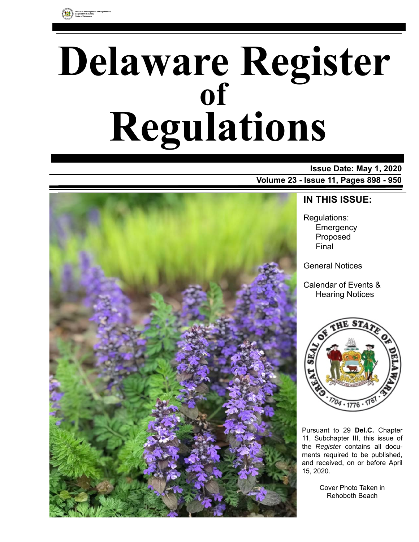

# **Delaware Register Regulations of**

### **Issue Date: May 1, 2020 Volume 23 - Issue 11, Pages 898 - 950**



### **IN THIS ISSUE:**

Regulations: **Emergency** Proposed Final

General Notices

Calendar of Events & Hearing Notices



Pursuant to 29 **Del.C.** Chapter 11, Subchapter III, this issue of the *Register* contains all documents required to be published, and received, on or before April 15, 2020.

> Cover Photo Taken in Rehoboth Beach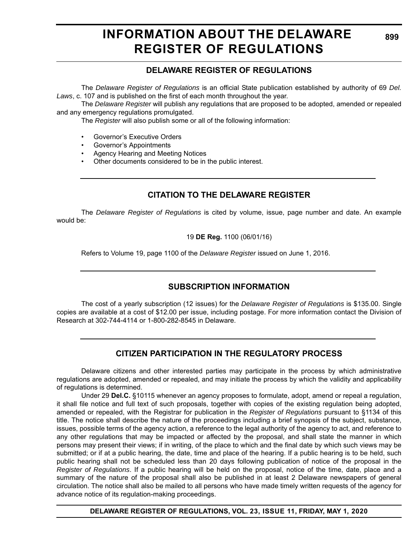### **INFORMATION ABOUT THE DELAWARE REGISTER OF REGULATIONS**

### **DELAWARE REGISTER OF REGULATIONS**

The *Delaware Register of Regulations* is an official State publication established by authority of 69 *Del. Laws*, c. 107 and is published on the first of each month throughout the year.

The *Delaware Register* will publish any regulations that are proposed to be adopted, amended or repealed and any emergency regulations promulgated.

The *Register* will also publish some or all of the following information:

- Governor's Executive Orders
- Governor's Appointments
- Agency Hearing and Meeting Notices
- Other documents considered to be in the public interest.

### **CITATION TO THE DELAWARE REGISTER**

The *Delaware Register of Regulations* is cited by volume, issue, page number and date. An example would be:

19 **DE Reg.** 1100 (06/01/16)

Refers to Volume 19, page 1100 of the *Delaware Register* issued on June 1, 2016.

### **SUBSCRIPTION INFORMATION**

The cost of a yearly subscription (12 issues) for the *Delaware Register of Regulations* is \$135.00. Single copies are available at a cost of \$12.00 per issue, including postage. For more information contact the Division of Research at 302-744-4114 or 1-800-282-8545 in Delaware.

### **CITIZEN PARTICIPATION IN THE REGULATORY PROCESS**

Delaware citizens and other interested parties may participate in the process by which administrative regulations are adopted, amended or repealed, and may initiate the process by which the validity and applicability of regulations is determined.

Under 29 **Del.C.** §10115 whenever an agency proposes to formulate, adopt, amend or repeal a regulation, it shall file notice and full text of such proposals, together with copies of the existing regulation being adopted, amended or repealed, with the Registrar for publication in the *Register of Regulations* pursuant to §1134 of this title. The notice shall describe the nature of the proceedings including a brief synopsis of the subject, substance, issues, possible terms of the agency action, a reference to the legal authority of the agency to act, and reference to any other regulations that may be impacted or affected by the proposal, and shall state the manner in which persons may present their views; if in writing, of the place to which and the final date by which such views may be submitted; or if at a public hearing, the date, time and place of the hearing. If a public hearing is to be held, such public hearing shall not be scheduled less than 20 days following publication of notice of the proposal in the *Register of Regulations*. If a public hearing will be held on the proposal, notice of the time, date, place and a summary of the nature of the proposal shall also be published in at least 2 Delaware newspapers of general circulation. The notice shall also be mailed to all persons who have made timely written requests of the agency for advance notice of its regulation-making proceedings.

**DELAWARE REGISTER OF REGULATIONS, VOL. 23, ISSUE 11, FRIDAY, MAY 1, 2020**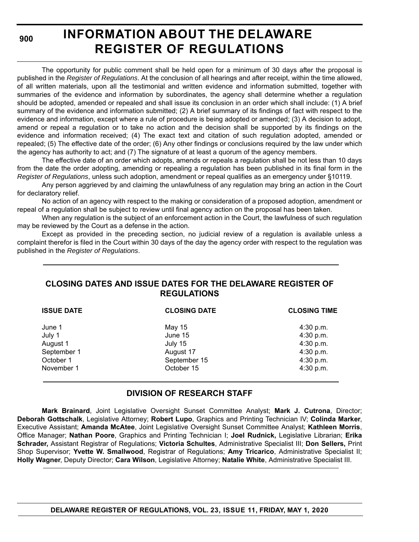**900**

# **INFORMATION ABOUT THE DELAWARE REGISTER OF REGULATIONS**

The opportunity for public comment shall be held open for a minimum of 30 days after the proposal is published in the *Register of Regulations*. At the conclusion of all hearings and after receipt, within the time allowed, of all written materials, upon all the testimonial and written evidence and information submitted, together with summaries of the evidence and information by subordinates, the agency shall determine whether a regulation should be adopted, amended or repealed and shall issue its conclusion in an order which shall include: (1) A brief summary of the evidence and information submitted; (2) A brief summary of its findings of fact with respect to the evidence and information, except where a rule of procedure is being adopted or amended; (3) A decision to adopt, amend or repeal a regulation or to take no action and the decision shall be supported by its findings on the evidence and information received; (4) The exact text and citation of such regulation adopted, amended or repealed; (5) The effective date of the order; (6) Any other findings or conclusions required by the law under which the agency has authority to act; and (7) The signature of at least a quorum of the agency members.

The effective date of an order which adopts, amends or repeals a regulation shall be not less than 10 days from the date the order adopting, amending or repealing a regulation has been published in its final form in the *Register of Regulations*, unless such adoption, amendment or repeal qualifies as an emergency under §10119.

Any person aggrieved by and claiming the unlawfulness of any regulation may bring an action in the Court for declaratory relief.

No action of an agency with respect to the making or consideration of a proposed adoption, amendment or repeal of a regulation shall be subject to review until final agency action on the proposal has been taken.

When any regulation is the subject of an enforcement action in the Court, the lawfulness of such regulation may be reviewed by the Court as a defense in the action.

Except as provided in the preceding section, no judicial review of a regulation is available unless a complaint therefor is filed in the Court within 30 days of the day the agency order with respect to the regulation was published in the *Register of Regulations*.

### **CLOSING DATES AND ISSUE DATES FOR THE DELAWARE REGISTER OF REGULATIONS**

| <b>ISSUE DATE</b> | <b>CLOSING DATE</b> | <b>CLOSING TIME</b> |  |
|-------------------|---------------------|---------------------|--|
| June 1            | May 15              | 4:30 p.m.           |  |
| July 1            | June 15             | 4:30 p.m.           |  |
| August 1          | July 15             | $4:30$ p.m.         |  |
| September 1       | August 17           | 4:30 p.m.           |  |
| October 1         | September 15        | 4:30 p.m.           |  |
| November 1        | October 15          | 4:30 p.m.           |  |

### **DIVISION OF RESEARCH STAFF**

**Mark Brainard**, Joint Legislative Oversight Sunset Committee Analyst; **Mark J. Cutrona**, Director; **Deborah Gottschalk**, Legislative Attorney; **Robert Lupo**, Graphics and Printing Technician IV; **Colinda Marker**, Executive Assistant; **Amanda McAtee**, Joint Legislative Oversight Sunset Committee Analyst; **Kathleen Morris**, Office Manager; **Nathan Poore**, Graphics and Printing Technician I; **Joel Rudnick,** Legislative Librarian; **Erika Schrader,** Assistant Registrar of Regulations; **Victoria Schultes**, Administrative Specialist III; **Don Sellers,** Print Shop Supervisor; **Yvette W. Smallwood**, Registrar of Regulations; **Amy Tricarico**, Administrative Specialist II; **Holly Wagner**, Deputy Director; **Cara Wilson**, Legislative Attorney; **Natalie White**, Administrative Specialist III.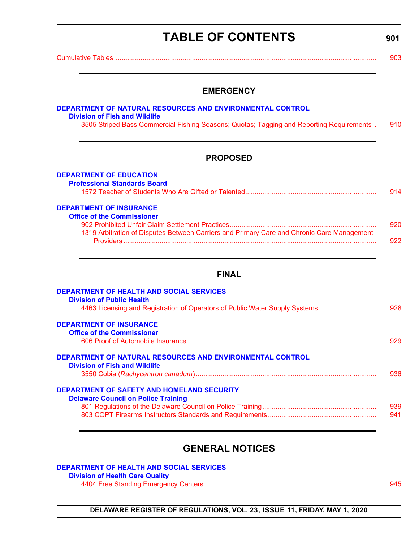# **TABLE OF CONTENTS**

<span id="page-3-0"></span>[Cumulative Tables............................................................................................................................. ............ 903](#page-5-0)

#### **EMERGENCY**

#### **[DEPARTMENT OF NATURAL RESOURCES AND ENVIRONMENTAL CONTROL](https://dnrec.alpha.delaware.gov/) [Division of Fish and Wildlife](https://dnrec.alpha.delaware.gov/fish-wildlife/)** [3505 Striped Bass Commercial Fishing Seasons; Quotas; Tagging and Reporting Requirements . 910](#page-12-0)

#### **PROPOSED**

| <b>DEPARTMENT OF EDUCATION</b>                                                             |     |
|--------------------------------------------------------------------------------------------|-----|
| <b>Professional Standards Board</b>                                                        |     |
|                                                                                            | 914 |
| <b>DEPARTMENT OF INSURANCE</b>                                                             |     |
| <b>Office of the Commissioner</b>                                                          |     |
|                                                                                            | 920 |
| 1319 Arbitration of Disputes Between Carriers and Primary Care and Chronic Care Management |     |

#### **FINAL**

[Providers ........................................................................................................................ ............ 922](#page-24-0)

| <b>DEPARTMENT OF HEALTH AND SOCIAL SERVICES</b><br><b>Division of Public Health</b> |     |
|-------------------------------------------------------------------------------------|-----|
|                                                                                     | 928 |
| 4463 Licensing and Registration of Operators of Public Water Supply Systems         |     |
| <b>DEPARTMENT OF INSURANCE</b>                                                      |     |
| <b>Office of the Commissioner</b>                                                   |     |
|                                                                                     | 929 |
| <b>DEPARTMENT OF NATURAL RESOURCES AND ENVIRONMENTAL CONTROL</b>                    |     |
| <b>Division of Fish and Wildlife</b>                                                |     |
|                                                                                     | 936 |
| <b>DEPARTMENT OF SAFETY AND HOMELAND SECURITY</b>                                   |     |
| <b>Delaware Council on Police Training</b>                                          |     |
|                                                                                     | 939 |
|                                                                                     | 941 |
|                                                                                     |     |

### **GENERAL NOTICES**

| DEPARTMENT OF HEALTH AND SOCIAL SERVICES |     |
|------------------------------------------|-----|
| <b>Division of Health Care Quality</b>   |     |
|                                          | 945 |

**DELAWARE REGISTER OF REGULATIONS, VOL. 23, ISSUE 11, FRIDAY, MAY 1, 2020**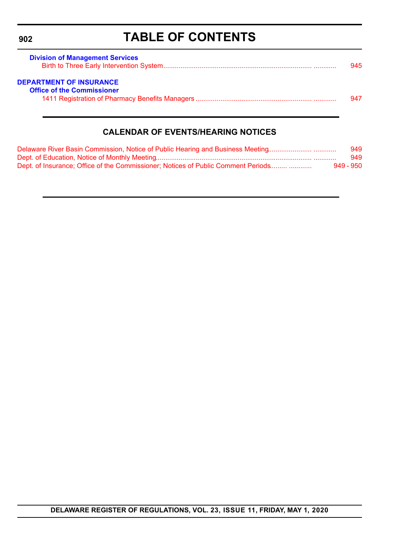# **TABLE OF CONTENTS**

<span id="page-4-0"></span>

| <b>Division of Management Services</b> | 945 |
|----------------------------------------|-----|
| <b>DEPARTMENT OF INSURANCE</b>         |     |
| <b>Office of the Commissioner</b>      |     |
|                                        | 947 |

### **CALENDAR OF EVENTS/HEARING NOTICES**

| Delaware River Basin Commission, Notice of Public Hearing and Business Meeting    | 949       |
|-----------------------------------------------------------------------------------|-----------|
|                                                                                   | 949       |
| Dept. of Insurance: Office of the Commissioner: Notices of Public Comment Periods | 949 - 950 |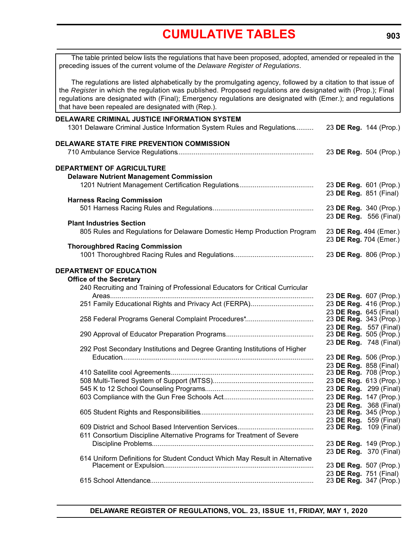<span id="page-5-0"></span>

| The table printed below lists the regulations that have been proposed, adopted, amended or repealed in the<br>preceding issues of the current volume of the Delaware Register of Regulations.                                                                                                                                                                                                      |                        |                                                  |
|----------------------------------------------------------------------------------------------------------------------------------------------------------------------------------------------------------------------------------------------------------------------------------------------------------------------------------------------------------------------------------------------------|------------------------|--------------------------------------------------|
| The regulations are listed alphabetically by the promulgating agency, followed by a citation to that issue of<br>the Register in which the regulation was published. Proposed regulations are designated with (Prop.); Final<br>regulations are designated with (Final); Emergency regulations are designated with (Emer.); and regulations<br>that have been repealed are designated with (Rep.). |                        |                                                  |
| DELAWARE CRIMINAL JUSTICE INFORMATION SYSTEM                                                                                                                                                                                                                                                                                                                                                       |                        |                                                  |
| 1301 Delaware Criminal Justice Information System Rules and Regulations                                                                                                                                                                                                                                                                                                                            | 23 DE Reg. 144 (Prop.) |                                                  |
| DELAWARE STATE FIRE PREVENTION COMMISSION                                                                                                                                                                                                                                                                                                                                                          |                        |                                                  |
|                                                                                                                                                                                                                                                                                                                                                                                                    |                        | 23 DE Reg. 504 (Prop.)                           |
| DEPARTMENT OF AGRICULTURE                                                                                                                                                                                                                                                                                                                                                                          |                        |                                                  |
| <b>Delaware Nutrient Management Commission</b>                                                                                                                                                                                                                                                                                                                                                     |                        |                                                  |
|                                                                                                                                                                                                                                                                                                                                                                                                    |                        | 23 DE Reg. 601 (Prop.)<br>23 DE Reg. 851 (Final) |
| <b>Harness Racing Commission</b>                                                                                                                                                                                                                                                                                                                                                                   |                        |                                                  |
|                                                                                                                                                                                                                                                                                                                                                                                                    |                        | 23 DE Reg. 340 (Prop.)                           |
|                                                                                                                                                                                                                                                                                                                                                                                                    |                        | 23 DE Reg. 556 (Final)                           |
| <b>Plant Industries Section</b>                                                                                                                                                                                                                                                                                                                                                                    |                        |                                                  |
| 805 Rules and Regulations for Delaware Domestic Hemp Production Program                                                                                                                                                                                                                                                                                                                            |                        | 23 DE Reg. 494 (Emer.)<br>23 DE Reg. 704 (Emer.) |
| <b>Thoroughbred Racing Commission</b>                                                                                                                                                                                                                                                                                                                                                              |                        |                                                  |
|                                                                                                                                                                                                                                                                                                                                                                                                    |                        | 23 DE Reg. 806 (Prop.)                           |
| DEPARTMENT OF EDUCATION                                                                                                                                                                                                                                                                                                                                                                            |                        |                                                  |
| <b>Office of the Secretary</b>                                                                                                                                                                                                                                                                                                                                                                     |                        |                                                  |
| 240 Recruiting and Training of Professional Educators for Critical Curricular                                                                                                                                                                                                                                                                                                                      |                        |                                                  |
|                                                                                                                                                                                                                                                                                                                                                                                                    |                        | 23 DE Reg. 607 (Prop.)                           |
| 251 Family Educational Rights and Privacy Act (FERPA)                                                                                                                                                                                                                                                                                                                                              |                        | 23 DE Reg. 416 (Prop.)                           |
|                                                                                                                                                                                                                                                                                                                                                                                                    |                        | 23 DE Reg. 645 (Final)                           |
|                                                                                                                                                                                                                                                                                                                                                                                                    |                        | 23 DE Reg. 343 (Prop.)<br>23 DE Reg. 557 (Final) |
|                                                                                                                                                                                                                                                                                                                                                                                                    |                        | 23 DE Reg. 505 (Prop.)                           |
|                                                                                                                                                                                                                                                                                                                                                                                                    |                        | 23 DE Reg. 748 (Final)                           |
| 292 Post Secondary Institutions and Degree Granting Institutions of Higher                                                                                                                                                                                                                                                                                                                         |                        |                                                  |
|                                                                                                                                                                                                                                                                                                                                                                                                    |                        | 23 DE Reg. 506 (Prop.)                           |
|                                                                                                                                                                                                                                                                                                                                                                                                    |                        | 23 DE Reg. 858 (Final)                           |
|                                                                                                                                                                                                                                                                                                                                                                                                    |                        | 23 DE Reg. 708 (Prop.)<br>23 DE Reg. 613 (Prop.) |
|                                                                                                                                                                                                                                                                                                                                                                                                    |                        | 23 DE Reg. 299 (Final)                           |
|                                                                                                                                                                                                                                                                                                                                                                                                    |                        | 23 DE Reg. 147 (Prop.)                           |
|                                                                                                                                                                                                                                                                                                                                                                                                    |                        | 23 DE Reg. 368 (Final)                           |
|                                                                                                                                                                                                                                                                                                                                                                                                    |                        | 23 DE Reg. 345 (Prop.)                           |
|                                                                                                                                                                                                                                                                                                                                                                                                    |                        | 23 DE Reg. 559 (Final)                           |
|                                                                                                                                                                                                                                                                                                                                                                                                    |                        | 23 DE Reg. 109 (Final)                           |
| 611 Consortium Discipline Alternative Programs for Treatment of Severe                                                                                                                                                                                                                                                                                                                             |                        |                                                  |
|                                                                                                                                                                                                                                                                                                                                                                                                    |                        | 23 DE Reg. 149 (Prop.)<br>23 DE Reg. 370 (Final) |
| 614 Uniform Definitions for Student Conduct Which May Result in Alternative                                                                                                                                                                                                                                                                                                                        |                        |                                                  |
|                                                                                                                                                                                                                                                                                                                                                                                                    |                        | 23 DE Reg. 507 (Prop.)                           |
|                                                                                                                                                                                                                                                                                                                                                                                                    |                        | 23 DE Reg. 751 (Final)                           |
|                                                                                                                                                                                                                                                                                                                                                                                                    |                        | 23 DE Reg. 347 (Prop.)                           |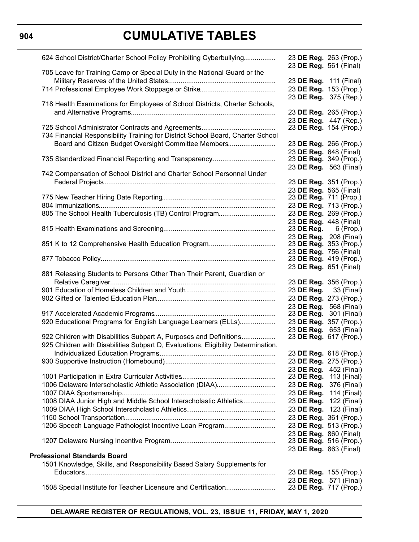### **904**

| 624 School District/Charter School Policy Prohibiting Cyberbullying               | 23 DE Reg. 263 (Prop.)<br>23 DE Reg. 561 (Final)        |
|-----------------------------------------------------------------------------------|---------------------------------------------------------|
| 705 Leave for Training Camp or Special Duty in the National Guard or the          | 23 DE Reg. 111 (Final)                                  |
|                                                                                   |                                                         |
|                                                                                   | 23 DE Reg. 153 (Prop.)                                  |
|                                                                                   | 23 DE Reg. 375 (Rep.)                                   |
| 718 Health Examinations for Employees of School Districts, Charter Schools,       |                                                         |
|                                                                                   | 23 DE Reg. 265 (Prop.)                                  |
|                                                                                   | 23 DE Reg. 447 (Rep.)                                   |
|                                                                                   | 23 DE Reg. 154 (Prop.)                                  |
| 734 Financial Responsibility Training for District School Board, Charter School   |                                                         |
| Board and Citizen Budget Oversight Committee Members                              | 23 DE Reg. 266 (Prop.)                                  |
|                                                                                   | 23 DE Reg. 648 (Final)                                  |
| 735 Standardized Financial Reporting and Transparency                             | 23 DE Reg. 349 (Prop.)                                  |
|                                                                                   | 23 DE Reg. 563 (Final)                                  |
| 742 Compensation of School District and Charter School Personnel Under            |                                                         |
|                                                                                   | 23 DE Reg. 351 (Prop.)                                  |
|                                                                                   | 23 DE Reg. 565 (Final)                                  |
|                                                                                   | 23 DE Reg. 711 (Prop.)                                  |
|                                                                                   | 23 DE Reg. 713 (Prop.)                                  |
| 805 The School Health Tuberculosis (TB) Control Program                           | 23 DE Reg. 269 (Prop.)                                  |
|                                                                                   | 23 DE Reg. 448 (Final)                                  |
|                                                                                   | 23 DE Reg. $6$ (Prop.)                                  |
|                                                                                   | 23 DE Reg. 208 (Final)                                  |
|                                                                                   | 23 DE Reg. 353 (Prop.)                                  |
|                                                                                   | 23 DE Reg. 756 (Final)                                  |
|                                                                                   | 23 DE Reg. 419 (Prop.)                                  |
|                                                                                   | 23 DE Reg. 651 (Final)                                  |
| 881 Releasing Students to Persons Other Than Their Parent, Guardian or            |                                                         |
|                                                                                   | 23 DE Reg. 356 (Prop.)                                  |
|                                                                                   | 23 <b>DE Reg.</b> 33 (Final)                            |
|                                                                                   | 23 DE Reg. 273 (Prop.)                                  |
|                                                                                   | 23 DE Reg. 568 (Final)                                  |
|                                                                                   | 23 <b>DE Reg.</b> 301 (Final)                           |
| 920 Educational Programs for English Language Learners (ELLs)                     | 23 DE Reg. 357 (Prop.)                                  |
|                                                                                   | 23 DE Reg. 653 (Final)                                  |
| 922 Children with Disabilities Subpart A, Purposes and Definitions                | 23 DE Reg. 617 (Prop.)                                  |
| 925 Children with Disabilities Subpart D, Evaluations, Eligibility Determination, |                                                         |
|                                                                                   | 23 DE Reg. 618 (Prop.)                                  |
|                                                                                   | 23 DE Reg. 275 (Prop.)                                  |
|                                                                                   |                                                         |
|                                                                                   | 23 DE Reg. 452 (Final)<br>23 <b>DE Reg.</b> 113 (Final) |
| 1006 Delaware Interscholastic Athletic Association (DIAA)                         | 23 DE Reg. 376 (Final)                                  |
|                                                                                   |                                                         |
|                                                                                   | 23 DE Reg. 114 (Final)                                  |
| 1008 DIAA Junior High and Middle School Interscholastic Athletics                 | 23 DE Reg.<br>122 (Final)                               |
|                                                                                   | 23 DE Reg. 123 (Final)                                  |
|                                                                                   | 23 DE Reg. 361 (Prop.)                                  |
| 1206 Speech Language Pathologist Incentive Loan Program                           | 23 DE Reg. 513 (Prop.)                                  |
|                                                                                   | 23 DE Reg. 860 (Final)                                  |
|                                                                                   | 23 DE Reg. 516 (Prop.)                                  |
|                                                                                   | 23 DE Reg. 863 (Final)                                  |
| <b>Professional Standards Board</b>                                               |                                                         |
| 1501 Knowledge, Skills, and Responsibility Based Salary Supplements for           |                                                         |
|                                                                                   | 23 DE Reg. 155 (Prop.)                                  |
|                                                                                   | 23 DE Reg. 571 (Final)                                  |
| 1508 Special Institute for Teacher Licensure and Certification                    | 23 DE Reg. 717 (Prop.)                                  |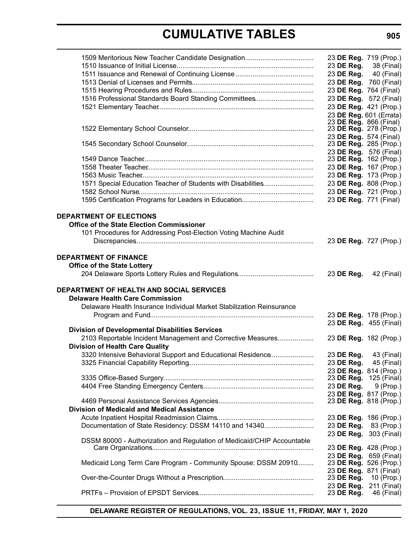|                                                                        | 23 DE Reg. 719 (Prop.)                           |             |
|------------------------------------------------------------------------|--------------------------------------------------|-------------|
|                                                                        | 23 DE Reg. 38 (Final)                            |             |
|                                                                        | 23 DE Reg. 40 (Final)                            |             |
|                                                                        | 23 DE Reg. 760 (Final)                           |             |
|                                                                        | 23 DE Reg. 764 (Final)                           |             |
| 1516 Professional Standards Board Standing Committees                  | 23 DE Reg. 572 (Final)                           |             |
|                                                                        | 23 DE Reg. 421 (Prop.)                           |             |
|                                                                        | 23 DE Reg. 601 (Errata)                          |             |
|                                                                        | 23 DE Reg. 866 (Final)                           |             |
|                                                                        | 23 DE Reg. 278 (Prop.)                           |             |
|                                                                        | 23 DE Reg. 574 (Final)                           |             |
|                                                                        | 23 DE Reg. 285 (Prop.)                           |             |
|                                                                        | 23 DE Reg. 576 (Final)<br>23 DE Reg. 162 (Prop.) |             |
|                                                                        | 23 DE Reg. 167 (Prop.)                           |             |
|                                                                        | 23 DE Reg. 173 (Prop.)                           |             |
| 1571 Special Education Teacher of Students with Disabilities           | 23 DE Reg. 808 (Prop.)                           |             |
|                                                                        | 23 DE Reg. 721 (Prop.)                           |             |
|                                                                        | 23 DE Reg. 771 (Final)                           |             |
|                                                                        |                                                  |             |
| <b>DEPARTMENT OF ELECTIONS</b>                                         |                                                  |             |
| <b>Office of the State Election Commissioner</b>                       |                                                  |             |
| 101 Procedures for Addressing Post-Election Voting Machine Audit       |                                                  |             |
|                                                                        | 23 DE Reg. 727 (Prop.)                           |             |
|                                                                        |                                                  |             |
| <b>DEPARTMENT OF FINANCE</b>                                           |                                                  |             |
| <b>Office of the State Lottery</b>                                     |                                                  |             |
|                                                                        | 23 DE Reg.                                       | 42 (Final)  |
| <b>DEPARTMENT OF HEALTH AND SOCIAL SERVICES</b>                        |                                                  |             |
| <b>Delaware Health Care Commission</b>                                 |                                                  |             |
| Delaware Health Insurance Individual Market Stabilization Reinsurance  |                                                  |             |
|                                                                        | 23 DE Reg. 178 (Prop.)                           |             |
|                                                                        | 23 DE Reg. 455 (Final)                           |             |
| <b>Division of Developmental Disabilities Services</b>                 |                                                  |             |
| 2103 Reportable Incident Management and Corrective Measures            | 23 DE Reg. 182 (Prop.)                           |             |
| <b>Division of Health Care Quality</b>                                 |                                                  |             |
| 3320 Intensive Behavioral Support and Educational Residence            | 23 DE Reg.                                       | 43 (Final)  |
|                                                                        | 23 DE Reg. 45 (Final)                            |             |
|                                                                        | 23 DE Reg. 814 (Prop.)                           |             |
|                                                                        | 23 DE Reg. 125 (Final)                           |             |
|                                                                        | 23 DE Reg.                                       | 9 (Prop.)   |
|                                                                        | 23 DE Reg. 817 (Prop.)                           |             |
|                                                                        | 23 DE Reg. 818 (Prop.)                           |             |
| Division of Medicaid and Medical Assistance                            |                                                  |             |
|                                                                        | 23 DE Reg. 186 (Prop.)                           |             |
| Documentation of State Residency: DSSM 14110 and 14340                 | 23 DE Reg.                                       | 83 (Prop.)  |
| DSSM 80000 - Authorization and Regulation of Medicaid/CHIP Accountable | 23 DE Reg. 303 (Final)                           |             |
|                                                                        | 23 DE Reg. 428 (Prop.)                           |             |
|                                                                        | 23 DE Reg. 659 (Final)                           |             |
| Medicaid Long Term Care Program - Community Spouse: DSSM 20910         | 23 DE Reg. 526 (Prop.)                           |             |
|                                                                        | 23 DE Reg. 871 (Final)                           |             |
|                                                                        | 23 DE Reg.                                       | 10 (Prop.)  |
|                                                                        | 23 DE Reg.                                       | 211 (Final) |
|                                                                        | 23 DE Reg.                                       | 46 (Final)  |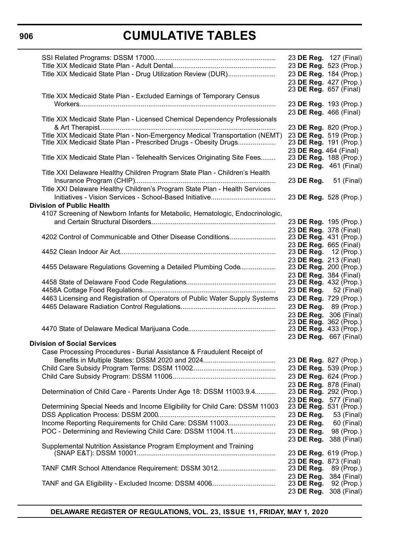|                                                                               | 23 DE Reg. 127 (Final)                           |
|-------------------------------------------------------------------------------|--------------------------------------------------|
|                                                                               | 23 DE Reg. 523 (Prop.)                           |
| Title XIX Medicaid State Plan - Drug Utilization Review (DUR)                 | 23 DE Reg. 184 (Prop.)                           |
|                                                                               | 23 DE Reg. 427 (Prop.)                           |
|                                                                               | 23 DE Reg. 657 (Final)                           |
| Title XIX Medicaid State Plan - Excluded Earnings of Temporary Census         |                                                  |
|                                                                               | 23 DE Reg. 193 (Prop.)                           |
|                                                                               | 23 DE Reg. 466 (Final)                           |
| Title XIX Medicaid State Plan - Licensed Chemical Dependency Professionals    |                                                  |
|                                                                               | 23 DE Reg. 820 (Prop.)                           |
| Title XIX Medicaid State Plan - Non-Emergency Medical Transportation (NEMT)   | 23 DE Reg. 519 (Prop.)                           |
| Title XIX Medicaid State Plan - Prescribed Drugs - Obesity Drugs              | 23 DE Reg. 191 (Prop.)                           |
|                                                                               | 23 DE Reg. 464 (Final)                           |
| Title XIX Medicaid State Plan - Telehealth Services Originating Site Fees     | 23 DE Reg. 188 (Prop.)                           |
|                                                                               | 23 DE Reg. 461 (Final)                           |
| Title XXI Delaware Healthy Children Program State Plan - Children's Health    |                                                  |
|                                                                               | 23 <b>DE Reg.</b> 51 (Final)                     |
| Title XXI Delaware Healthy Children's Program State Plan - Health Services    |                                                  |
| Initiatives - Vision Services - School-Based Initiative                       | 23 DE Reg. 528 (Prop.)                           |
| <b>Division of Public Health</b>                                              |                                                  |
| 4107 Screening of Newborn Infants for Metabolic, Hematologic, Endocrinologic, |                                                  |
|                                                                               | 23 DE Reg. 195 (Prop.)                           |
|                                                                               | 23 DE Reg. 378 (Final)                           |
| 4202 Control of Communicable and Other Disease Conditions                     | 23 DE Reg. 431 (Prop.)                           |
|                                                                               | 23 DE Reg. 665 (Final)                           |
|                                                                               | 23 <b>DE Reg.</b> 12 (Prop.)                     |
|                                                                               | 23 DE Reg. 213 (Final)                           |
| 4455 Delaware Regulations Governing a Detailed Plumbing Code                  | 23 DE Reg. 200 (Prop.)                           |
|                                                                               | 23 DE Reg. 384 (Final)                           |
|                                                                               | 23 DE Reg. 432 (Prop.)                           |
|                                                                               | 23 DE Reg. 52 (Final)                            |
| 4463 Licensing and Registration of Operators of Public Water Supply Systems   | 23 DE Reg. 729 (Prop.)                           |
|                                                                               | 23 DE Reg. 89 (Prop.)                            |
|                                                                               | 23 DE Reg. 306 (Final)                           |
|                                                                               | 23 DE Reg. 362 (Prop.)                           |
|                                                                               | 23 DE Reg. 433 (Prop.)                           |
|                                                                               | 23 DE Reg. 667 (Final)                           |
| <b>Division of Social Services</b>                                            |                                                  |
| Case Processing Procedures - Burial Assistance & Fraudulent Receipt of        |                                                  |
|                                                                               | 23 DE Reg. 827 (Prop.)                           |
|                                                                               | 23 DE Reg. 539 (Prop.)                           |
|                                                                               | 23 DE Reg. 624 (Prop.)                           |
|                                                                               |                                                  |
| Determination of Child Care - Parents Under Age 18: DSSM 11003.9.4            | 23 DE Reg. 878 (Final)<br>23 DE Reg. 292 (Prop.) |
|                                                                               |                                                  |
| Determining Special Needs and Income Eligibility for Child Care: DSSM 11003   | 23 DE Reg. 577 (Final)<br>23 DE Reg. 531 (Prop.) |
|                                                                               |                                                  |
|                                                                               | 23 DE Reg.<br>53 (Final)                         |
| Income Reporting Requirements for Child Care: DSSM 11003                      | 23 DE Reg.<br>60 (Final)                         |
| POC - Determining and Reviewing Child Care: DSSM 11004.11                     | 23 DE Reg.<br>98 (Prop.)                         |
|                                                                               | 23 DE Reg.<br>388 (Final)                        |
| Supplemental Nutrition Assistance Program Employment and Training             |                                                  |
|                                                                               | 23 DE Reg. 619 (Prop.)                           |
|                                                                               | 23 DE Reg. 873 (Final)                           |
| TANF CMR School Attendance Requirement: DSSM 3012                             | 23 DE Reg.<br>89 (Prop.)                         |
|                                                                               | 23 DE Reg.<br>384 (Final)                        |
|                                                                               | 23 DE Reg.<br>92 (Prop.)                         |
|                                                                               | 23 DE Reg.<br>308 (Final)                        |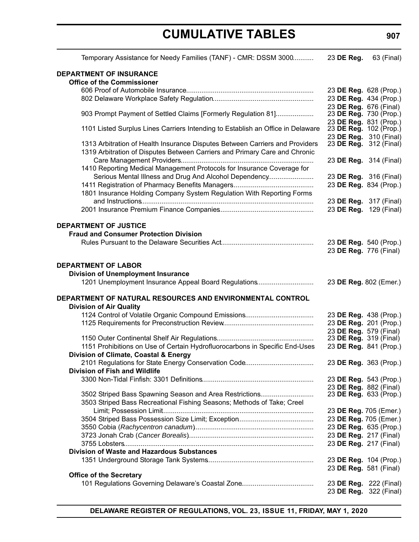| Temporary Assistance for Needy Families (TANF) - CMR: DSSM 3000                                                                                            | 23 DE Reg.             | 63 (Final) |
|------------------------------------------------------------------------------------------------------------------------------------------------------------|------------------------|------------|
| <b>DEPARTMENT OF INSURANCE</b>                                                                                                                             |                        |            |
| <b>Office of the Commissioner</b>                                                                                                                          |                        |            |
|                                                                                                                                                            | 23 DE Reg. 628 (Prop.) |            |
|                                                                                                                                                            | 23 DE Reg. 434 (Prop.) |            |
|                                                                                                                                                            | 23 DE Reg. 676 (Final) |            |
| 903 Prompt Payment of Settled Claims [Formerly Regulation 81]                                                                                              | 23 DE Reg. 730 (Prop.) |            |
|                                                                                                                                                            | 23 DE Reg. 831 (Prop.) |            |
| 1101 Listed Surplus Lines Carriers Intending to Establish an Office in Delaware                                                                            | 23 DE Reg. 102 (Prop.) |            |
|                                                                                                                                                            | 23 DE Reg. 310 (Final) |            |
| 1313 Arbitration of Health Insurance Disputes Between Carriers and Providers<br>1319 Arbitration of Disputes Between Carriers and Primary Care and Chronic | 23 DE Reg. 312 (Final) |            |
|                                                                                                                                                            | 23 DE Reg. 314 (Final) |            |
| 1410 Reporting Medical Management Protocols for Insurance Coverage for                                                                                     |                        |            |
| Serious Mental Illness and Drug And Alcohol Dependency                                                                                                     | 23 DE Reg. 316 (Final) |            |
|                                                                                                                                                            | 23 DE Reg. 834 (Prop.) |            |
| 1801 Insurance Holding Company System Regulation With Reporting Forms                                                                                      |                        |            |
|                                                                                                                                                            | 23 DE Reg. 317 (Final) |            |
|                                                                                                                                                            | 23 DE Reg. 129 (Final) |            |
|                                                                                                                                                            |                        |            |
| <b>DEPARTMENT OF JUSTICE</b>                                                                                                                               |                        |            |
| <b>Fraud and Consumer Protection Division</b>                                                                                                              |                        |            |
|                                                                                                                                                            | 23 DE Reg. 540 (Prop.) |            |
|                                                                                                                                                            | 23 DE Reg. 776 (Final) |            |
|                                                                                                                                                            |                        |            |
| <b>DEPARTMENT OF LABOR</b>                                                                                                                                 |                        |            |
| <b>Division of Unemployment Insurance</b>                                                                                                                  |                        |            |
| 1201 Unemployment Insurance Appeal Board Regulations                                                                                                       | 23 DE Reg. 802 (Emer.) |            |
| DEPARTMENT OF NATURAL RESOURCES AND ENVIRONMENTAL CONTROL                                                                                                  |                        |            |
| <b>Division of Air Quality</b>                                                                                                                             |                        |            |
|                                                                                                                                                            | 23 DE Reg. 438 (Prop.) |            |
|                                                                                                                                                            | 23 DE Reg. 201 (Prop.) |            |
|                                                                                                                                                            | 23 DE Reg. 579 (Final) |            |
|                                                                                                                                                            | 23 DE Reg. 319 (Final) |            |
| 1151 Prohibitions on Use of Certain Hydrofluorocarbons in Specific End-Uses                                                                                | 23 DE Reg. 841 (Prop.) |            |
| Division of Climate, Coastal & Energy                                                                                                                      |                        |            |
|                                                                                                                                                            | 23 DE Reg. 363 (Prop.) |            |
| <b>Division of Fish and Wildlife</b>                                                                                                                       |                        |            |
|                                                                                                                                                            | 23 DE Reg. 543 (Prop.) |            |
|                                                                                                                                                            | 23 DE Reg. 882 (Final) |            |
| 3502 Striped Bass Spawning Season and Area Restrictions                                                                                                    | 23 DE Reg. 633 (Prop.) |            |
| 3503 Striped Bass Recreational Fishing Seasons; Methods of Take; Creel                                                                                     |                        |            |
|                                                                                                                                                            | 23 DE Reg. 705 (Emer.) |            |
|                                                                                                                                                            | 23 DE Reg. 705 (Emer.) |            |
|                                                                                                                                                            | 23 DE Reg. 635 (Prop.) |            |
|                                                                                                                                                            | 23 DE Reg. 217 (Final) |            |
|                                                                                                                                                            | 23 DE Reg. 217 (Final) |            |
| <b>Division of Waste and Hazardous Substances</b>                                                                                                          |                        |            |
|                                                                                                                                                            | 23 DE Reg. 104 (Prop.) |            |
|                                                                                                                                                            | 23 DE Reg. 581 (Final) |            |
| <b>Office of the Secretary</b>                                                                                                                             |                        |            |
|                                                                                                                                                            | 23 DE Reg. 222 (Final) |            |
|                                                                                                                                                            | 23 DE Reg. 322 (Final) |            |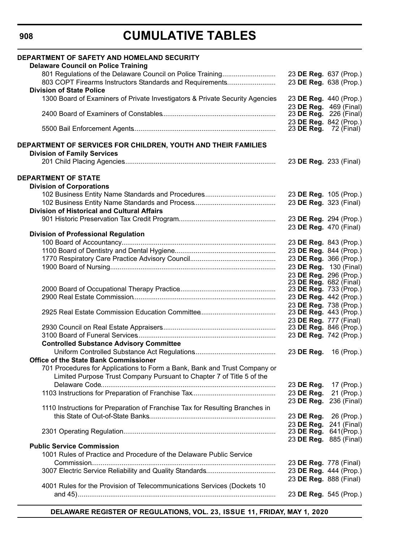**908**

| DEPARTMENT OF SAFETY AND HOMELAND SECURITY                                                                                                         |                        |                        |
|----------------------------------------------------------------------------------------------------------------------------------------------------|------------------------|------------------------|
| <b>Delaware Council on Police Training</b>                                                                                                         |                        |                        |
| 801 Regulations of the Delaware Council on Police Training                                                                                         |                        | 23 DE Reg. 637 (Prop.) |
| 803 COPT Firearms Instructors Standards and Requirements                                                                                           |                        | 23 DE Reg. 638 (Prop.) |
| <b>Division of State Police</b>                                                                                                                    |                        |                        |
| 1300 Board of Examiners of Private Investigators & Private Security Agencies                                                                       |                        | 23 DE Reg. 440 (Prop.) |
|                                                                                                                                                    |                        | 23 DE Reg. 469 (Final) |
|                                                                                                                                                    |                        | 23 DE Reg. 226 (Final) |
|                                                                                                                                                    | 23 DE Reg. 842 (Prop.) |                        |
|                                                                                                                                                    | 23 DE Reg. 72 (Final)  |                        |
| DEPARTMENT OF SERVICES FOR CHILDREN, YOUTH AND THEIR FAMILIES                                                                                      |                        |                        |
| <b>Division of Family Services</b>                                                                                                                 |                        |                        |
|                                                                                                                                                    | 23 DE Reg. 233 (Final) |                        |
|                                                                                                                                                    |                        |                        |
| <b>DEPARTMENT OF STATE</b>                                                                                                                         |                        |                        |
| <b>Division of Corporations</b>                                                                                                                    |                        |                        |
|                                                                                                                                                    |                        | 23 DE Reg. 105 (Prop.) |
|                                                                                                                                                    | 23 DE Reg. 323 (Final) |                        |
| <b>Division of Historical and Cultural Affairs</b>                                                                                                 |                        |                        |
|                                                                                                                                                    | 23 DE Reg. 294 (Prop.) |                        |
|                                                                                                                                                    | 23 DE Reg. 470 (Final) |                        |
| <b>Division of Professional Regulation</b>                                                                                                         |                        |                        |
|                                                                                                                                                    |                        | 23 DE Reg. 843 (Prop.) |
|                                                                                                                                                    |                        | 23 DE Reg. 844 (Prop.) |
|                                                                                                                                                    |                        | 23 DE Reg. 366 (Prop.) |
|                                                                                                                                                    |                        | 23 DE Reg. 130 (Final) |
|                                                                                                                                                    |                        | 23 DE Reg. 296 (Prop.) |
|                                                                                                                                                    | 23 DE Reg. 682 (Final) |                        |
|                                                                                                                                                    | 23 DE Reg. 733 (Prop.) |                        |
|                                                                                                                                                    | 23 DE Reg. 442 (Prop.) |                        |
|                                                                                                                                                    | 23 DE Reg. 738 (Prop.) |                        |
|                                                                                                                                                    |                        | 23 DE Reg. 443 (Prop.) |
|                                                                                                                                                    | 23 DE Reg. 777 (Final) | 23 DE Reg. 846 (Prop.) |
|                                                                                                                                                    |                        |                        |
|                                                                                                                                                    | 23 DE Reg. 742 (Prop.) |                        |
| <b>Controlled Substance Advisory Committee</b>                                                                                                     |                        |                        |
| Office of the State Bank Commissioner Contract of the State of the State Bank Commissioner                                                         | 23 DE Reg.             | 16 (Prop.)             |
|                                                                                                                                                    |                        |                        |
| 701 Procedures for Applications to Form a Bank, Bank and Trust Company or<br>Limited Purpose Trust Company Pursuant to Chapter 7 of Title 5 of the |                        |                        |
|                                                                                                                                                    |                        |                        |
|                                                                                                                                                    | 23 DE Reg.             | 17 (Prop.)             |
|                                                                                                                                                    | 23 DE Reg.             | 21 (Prop.)             |
| 1110 Instructions for Preparation of Franchise Tax for Resulting Branches in                                                                       | 23 DE Reg.             | 236 (Final)            |
|                                                                                                                                                    |                        | 23 DE Reg. 26 (Prop.)  |
|                                                                                                                                                    | 23 DE Reg.             | 241 (Final)            |
|                                                                                                                                                    | 23 DE Reg.             | $641$ (Prop.)          |
|                                                                                                                                                    |                        | 23 DE Reg. 885 (Final) |
| <b>Public Service Commission</b>                                                                                                                   |                        |                        |
| 1001 Rules of Practice and Procedure of the Delaware Public Service                                                                                |                        |                        |
|                                                                                                                                                    | 23 DE Reg. 778 (Final) |                        |
|                                                                                                                                                    | 23 DE Reg. 444 (Prop.) |                        |
|                                                                                                                                                    | 23 DE Reg. 888 (Final) |                        |
| 4001 Rules for the Provision of Telecommunications Services (Dockets 10                                                                            |                        |                        |
|                                                                                                                                                    | 23 DE Reg. 545 (Prop.) |                        |
|                                                                                                                                                    |                        |                        |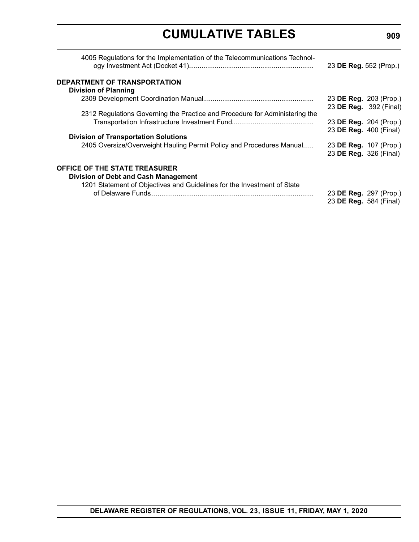|                                                                                     |                               | 23 DE Reg. 552 (Prop.) |
|-------------------------------------------------------------------------------------|-------------------------------|------------------------|
| DEPARTMENT OF TRANSPORTATION                                                        |                               |                        |
| <b>Division of Planning</b>                                                         |                               |                        |
|                                                                                     | 23 DE Reg. 203 (Prop.)        |                        |
|                                                                                     | 23 DE Reg. 392 (Final)        |                        |
| 2312 Regulations Governing the Practice and Procedure for Administering the         |                               |                        |
|                                                                                     | 23 <b>DE Reg.</b> 204 (Prop.) |                        |
|                                                                                     | 23 DE Reg. 400 (Final)        |                        |
| <b>Division of Transportation Solutions</b>                                         |                               |                        |
| 2405 Oversize/Overweight Hauling Permit Policy and Procedures Manual                | 23 DE Reg. 107 (Prop.)        |                        |
|                                                                                     | 23 DE Reg. 326 (Final)        |                        |
|                                                                                     |                               |                        |
| <b>OFFICE OF THE STATE TREASURER</b><br><b>Division of Debt and Cash Management</b> |                               |                        |
| 1201 Statement of Objectives and Guidelines for the Investment of State             |                               |                        |
|                                                                                     | 23 DE Reg. 297 (Prop.)        |                        |
|                                                                                     | 23 DE Reg. 584 (Final)        |                        |
|                                                                                     |                               |                        |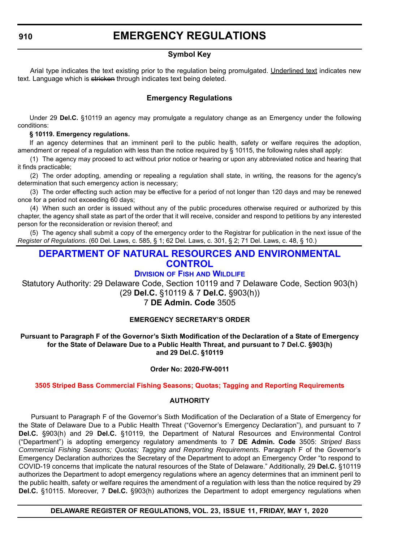#### **Symbol Key**

<span id="page-12-0"></span>Arial type indicates the text existing prior to the regulation being promulgated. Underlined text indicates new text. Language which is stricken through indicates text being deleted.

### **Emergency Regulations**

Under 29 **Del.C.** §10119 an agency may promulgate a regulatory change as an Emergency under the following conditions:

#### **§ 10119. Emergency regulations.**

If an agency determines that an imminent peril to the public health, safety or welfare requires the adoption, amendment or repeal of a regulation with less than the notice required by § 10115, the following rules shall apply:

(1) The agency may proceed to act without prior notice or hearing or upon any abbreviated notice and hearing that it finds practicable;

(2) The order adopting, amending or repealing a regulation shall state, in writing, the reasons for the agency's determination that such emergency action is necessary;

(3) The order effecting such action may be effective for a period of not longer than 120 days and may be renewed once for a period not exceeding 60 days;

(4) When such an order is issued without any of the public procedures otherwise required or authorized by this chapter, the agency shall state as part of the order that it will receive, consider and respond to petitions by any interested person for the reconsideration or revision thereof; and

(5) The agency shall submit a copy of the emergency order to the Registrar for publication in the next issue of the *Register of Regulations*. (60 Del. Laws, c. 585, § 1; 62 Del. Laws, c. 301, § 2; 71 Del. Laws, c. 48, § 10.)

### **[DEPARTMENT OF NATURAL RESOURCES AND ENVIRONMENTAL](https://dnrec.alpha.delaware.gov/)  CONTROL**

### **DIVISION OF FISH [AND WILDLIFE](https://dnrec.alpha.delaware.gov/fish-wildlife/)**

Statutory Authority: 29 Delaware Code, Section 10119 and 7 Delaware Code, Section 903(h) (29 **Del.C.** §10119 & 7 **Del.C.** §903(h))

### 7 **DE Admin. Code** 3505

#### **EMERGENCY SECRETARY'S ORDER**

**Pursuant to Paragraph F of the Governor's Sixth Modification of the Declaration of a State of Emergency for the State of Delaware Due to a Public Health Threat, and pursuant to 7 Del.C. §903(h) and 29 Del.C. §10119**

#### **Order No: 2020-FW-0011**

#### **[3505 Striped Bass Commercial Fishing Seasons; Quotas; Tagging and Reporting Requirements](#page-3-0)**

#### **AUTHORITY**

Pursuant to Paragraph F of the Governor's Sixth Modification of the Declaration of a State of Emergency for the State of Delaware Due to a Public Health Threat ("Governor's Emergency Declaration"), and pursuant to 7 **Del.C.** §903(h) and 29 **Del.C.** §10119, the Department of Natural Resources and Environmental Control ("Department") is adopting emergency regulatory amendments to 7 **DE Admin. Code** 3505: *Striped Bass Commercial Fishing Seasons; Quotas; Tagging and Reporting Requirements.* Paragraph F of the Governor's Emergency Declaration authorizes the Secretary of the Department to adopt an Emergency Order "to respond to COVID-19 concerns that implicate the natural resources of the State of Delaware." Additionally, 29 **Del.C.** §10119 authorizes the Department to adopt emergency regulations where an agency determines that an imminent peril to the public health, safety or welfare requires the amendment of a regulation with less than the notice required by 29 **Del.C.** §10115. Moreover, 7 **Del.C.** §903(h) authorizes the Department to adopt emergency regulations when

#### **DELAWARE REGISTER OF REGULATIONS, VOL. 23, ISSUE 11, FRIDAY, MAY 1, 2020**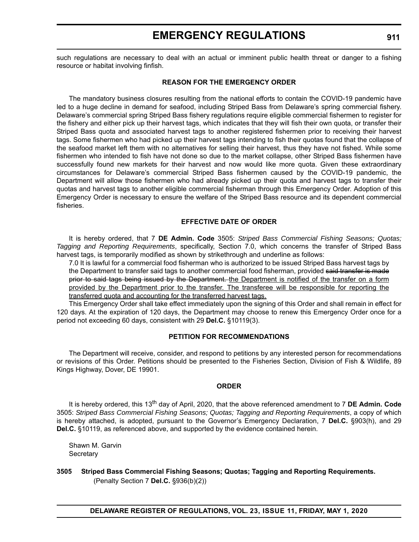such regulations are necessary to deal with an actual or imminent public health threat or danger to a fishing resource or habitat involving finfish.

#### **REASON FOR THE EMERGENCY ORDER**

The mandatory business closures resulting from the national efforts to contain the COVID-19 pandemic have led to a huge decline in demand for seafood, including Striped Bass from Delaware's spring commercial fishery. Delaware's commercial spring Striped Bass fishery regulations require eligible commercial fishermen to register for the fishery and either pick up their harvest tags, which indicates that they will fish their own quota, or transfer their Striped Bass quota and associated harvest tags to another registered fishermen prior to receiving their harvest tags. Some fishermen who had picked up their harvest tags intending to fish their quotas found that the collapse of the seafood market left them with no alternatives for selling their harvest, thus they have not fished. While some fishermen who intended to fish have not done so due to the market collapse, other Striped Bass fishermen have successfully found new markets for their harvest and now would like more quota. Given these extraordinary circumstances for Delaware's commercial Striped Bass fishermen caused by the COVID-19 pandemic, the Department will allow those fishermen who had already picked up their quota and harvest tags to transfer their quotas and harvest tags to another eligible commercial fisherman through this Emergency Order. Adoption of this Emergency Order is necessary to ensure the welfare of the Striped Bass resource and its dependent commercial fisheries.

#### **EFFECTIVE DATE OF ORDER**

It is hereby ordered, that 7 **DE Admin. Code** 3505: *Striped Bass Commercial Fishing Seasons; Quotas; Tagging and Reporting Requirements*, specifically, Section 7.0, which concerns the transfer of Striped Bass harvest tags, is temporarily modified as shown by strikethrough and underline as follows:

7.0 It is lawful for a commercial food fisherman who is authorized to be issued Striped Bass harvest tags by the Department to transfer said tags to another commercial food fisherman, provided said transfer is made prior to said tags being issued by the Department. the Department is notified of the transfer on a form provided by the Department prior to the transfer. The transferee will be responsible for reporting the transferred quota and accounting for the transferred harvest tags.

This Emergency Order shall take effect immediately upon the signing of this Order and shall remain in effect for 120 days. At the expiration of 120 days, the Department may choose to renew this Emergency Order once for a period not exceeding 60 days, consistent with 29 **Del.C.** §10119(3).

#### **PETITION FOR RECOMMENDATIONS**

The Department will receive, consider, and respond to petitions by any interested person for recommendations or revisions of this Order. Petitions should be presented to the Fisheries Section, Division of Fish & Wildlife, 89 Kings Highway, Dover, DE 19901.

#### **ORDER**

It is hereby ordered, this 13<sup>th</sup> day of April, 2020, that the above referenced amendment to 7 DE Admin. Code 3505: *Striped Bass Commercial Fishing Seasons; Quotas; Tagging and Reporting Requirements*, a copy of which is hereby attached, is adopted, pursuant to the Governor's Emergency Declaration, 7 **Del.C.** §903(h), and 29 **Del.C.** §10119, as referenced above, and supported by the evidence contained herein.

Shawn M. Garvin **Secretary** 

**3505 Striped Bass Commercial Fishing Seasons; Quotas; Tagging and Reporting Requirements.**

(Penalty Section 7 **Del.C.** §936(b)(2))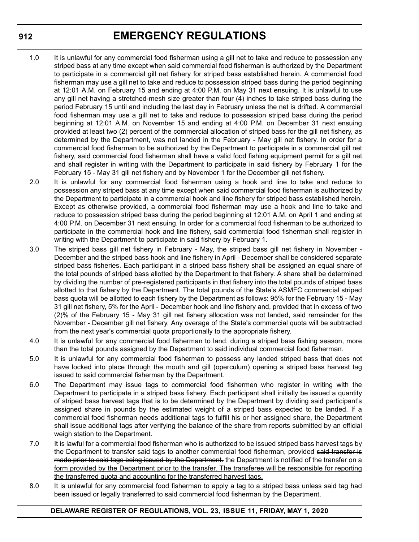- 1.0 It is unlawful for any commercial food fisherman using a gill net to take and reduce to possession any striped bass at any time except when said commercial food fisherman is authorized by the Department to participate in a commercial gill net fishery for striped bass established herein. A commercial food fisherman may use a gill net to take and reduce to possession striped bass during the period beginning at 12:01 A.M. on February 15 and ending at 4:00 P.M. on May 31 next ensuing. It is unlawful to use any gill net having a stretched-mesh size greater than four (4) inches to take striped bass during the period February 15 until and including the last day in February unless the net is drifted. A commercial food fisherman may use a gill net to take and reduce to possession striped bass during the period beginning at 12:01 A.M. on November 15 and ending at 4:00 P.M. on December 31 next ensuing provided at least two (2) percent of the commercial allocation of striped bass for the gill net fishery, as determined by the Department, was not landed in the February - May gill net fishery. In order for a commercial food fisherman to be authorized by the Department to participate in a commercial gill net fishery, said commercial food fisherman shall have a valid food fishing equipment permit for a gill net and shall register in writing with the Department to participate in said fishery by February 1 for the February 15 - May 31 gill net fishery and by November 1 for the December gill net fishery.
- 2.0 It is unlawful for any commercial food fisherman using a hook and line to take and reduce to possession any striped bass at any time except when said commercial food fisherman is authorized by the Department to participate in a commercial hook and line fishery for striped bass established herein. Except as otherwise provided, a commercial food fisherman may use a hook and line to take and reduce to possession striped bass during the period beginning at 12:01 A.M. on April 1 and ending at 4:00 P.M. on December 31 next ensuing. In order for a commercial food fisherman to be authorized to participate in the commercial hook and line fishery, said commercial food fisherman shall register in writing with the Department to participate in said fishery by February 1.
- 3.0 The striped bass gill net fishery in February May, the striped bass gill net fishery in November December and the striped bass hook and line fishery in April - December shall be considered separate striped bass fisheries. Each participant in a striped bass fishery shall be assigned an equal share of the total pounds of striped bass allotted by the Department to that fishery. A share shall be determined by dividing the number of pre-registered participants in that fishery into the total pounds of striped bass allotted to that fishery by the Department. The total pounds of the State's ASMFC commercial striped bass quota will be allotted to each fishery by the Department as follows: 95% for the February 15 - May 31 gill net fishery, 5% for the April - December hook and line fishery and, provided that in excess of two (2)% of the February 15 - May 31 gill net fishery allocation was not landed, said remainder for the November - December gill net fishery. Any overage of the State's commercial quota will be subtracted from the next year's commercial quota proportionally to the appropriate fishery.
- 4.0 It is unlawful for any commercial food fisherman to land, during a striped bass fishing season, more than the total pounds assigned by the Department to said individual commercial food fisherman.
- 5.0 It is unlawful for any commercial food fisherman to possess any landed striped bass that does not have locked into place through the mouth and gill (operculum) opening a striped bass harvest tag issued to said commercial fisherman by the Department.
- 6.0 The Department may issue tags to commercial food fishermen who register in writing with the Department to participate in a striped bass fishery. Each participant shall initially be issued a quantity of striped bass harvest tags that is to be determined by the Department by dividing said participant's assigned share in pounds by the estimated weight of a striped bass expected to be landed. If a commercial food fisherman needs additional tags to fulfill his or her assigned share, the Department shall issue additional tags after verifying the balance of the share from reports submitted by an official weigh station to the Department.
- 7.0 It is lawful for a commercial food fisherman who is authorized to be issued striped bass harvest tags by the Department to transfer said tags to another commercial food fisherman, provided said transfer is made prior to said tags being issued by the Department. the Department is notified of the transfer on a form provided by the Department prior to the transfer. The transferee will be responsible for reporting the transferred quota and accounting for the transferred harvest tags.
- 8.0 It is unlawful for any commercial food fisherman to apply a tag to a striped bass unless said tag had been issued or legally transferred to said commercial food fisherman by the Department.

#### **DELAWARE REGISTER OF REGULATIONS, VOL. 23, ISSUE 11, FRIDAY, MAY 1, 2020**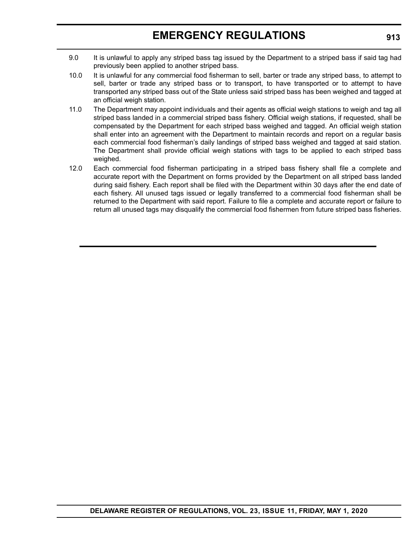- 9.0 It is unlawful to apply any striped bass tag issued by the Department to a striped bass if said tag had previously been applied to another striped bass.
- 10.0 It is unlawful for any commercial food fisherman to sell, barter or trade any striped bass, to attempt to sell, barter or trade any striped bass or to transport, to have transported or to attempt to have transported any striped bass out of the State unless said striped bass has been weighed and tagged at an official weigh station.
- 11.0 The Department may appoint individuals and their agents as official weigh stations to weigh and tag all striped bass landed in a commercial striped bass fishery. Official weigh stations, if requested, shall be compensated by the Department for each striped bass weighed and tagged. An official weigh station shall enter into an agreement with the Department to maintain records and report on a regular basis each commercial food fisherman's daily landings of striped bass weighed and tagged at said station. The Department shall provide official weigh stations with tags to be applied to each striped bass weighed.
- 12.0 Each commercial food fisherman participating in a striped bass fishery shall file a complete and accurate report with the Department on forms provided by the Department on all striped bass landed during said fishery. Each report shall be filed with the Department within 30 days after the end date of each fishery. All unused tags issued or legally transferred to a commercial food fisherman shall be returned to the Department with said report. Failure to file a complete and accurate report or failure to return all unused tags may disqualify the commercial food fishermen from future striped bass fisheries.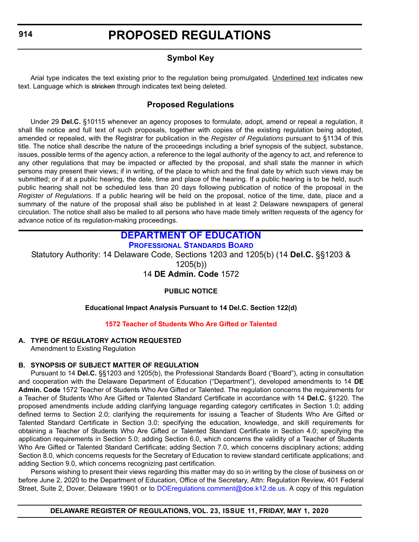### **Symbol Key**

<span id="page-16-0"></span>Arial type indicates the text existing prior to the regulation being promulgated. Underlined text indicates new text. Language which is stricken through indicates text being deleted.

### **Proposed Regulations**

Under 29 **Del.C.** §10115 whenever an agency proposes to formulate, adopt, amend or repeal a regulation, it shall file notice and full text of such proposals, together with copies of the existing regulation being adopted, amended or repealed, with the Registrar for publication in the *Register of Regulations* pursuant to §1134 of this title. The notice shall describe the nature of the proceedings including a brief synopsis of the subject, substance, issues, possible terms of the agency action, a reference to the legal authority of the agency to act, and reference to any other regulations that may be impacted or affected by the proposal, and shall state the manner in which persons may present their views; if in writing, of the place to which and the final date by which such views may be submitted; or if at a public hearing, the date, time and place of the hearing. If a public hearing is to be held, such public hearing shall not be scheduled less than 20 days following publication of notice of the proposal in the *Register of Regulations*. If a public hearing will be held on the proposal, notice of the time, date, place and a summary of the nature of the proposal shall also be published in at least 2 Delaware newspapers of general circulation. The notice shall also be mailed to all persons who have made timely written requests of the agency for advance notice of its regulation-making proceedings.

### **[DEPARTMENT OF EDUCATION](https://www.doe.k12.de.us/)**

**[PROFESSIONAL STANDARDS BOARD](https://www.doe.k12.de.us/domain/172 )**

Statutory Authority: 14 Delaware Code, Sections 1203 and 1205(b) (14 **Del.C.** §§1203 &

1205(b))

14 **DE Admin. Code** 1572

#### **PUBLIC NOTICE**

#### **Educational Impact Analysis Pursuant to 14 Del.C. Section 122(d)**

#### **[1572 Teacher of Students Who Are Gifted or Talented](#page-3-0)**

#### **A. TYPE OF REGULATORY ACTION REQUESTED**

Amendment to Existing Regulation

#### **B. SYNOPSIS OF SUBJECT MATTER OF REGULATION**

Pursuant to 14 **Del.C.** §§1203 and 1205(b), the Professional Standards Board ("Board"), acting in consultation and cooperation with the Delaware Department of Education ("Department"), developed amendments to 14 **DE Admin. Code** 1572 Teacher of Students Who Are Gifted or Talented. The regulation concerns the requirements for a Teacher of Students Who Are Gifted or Talented Standard Certificate in accordance with 14 **Del.C.** §1220. The proposed amendments include adding clarifying language regarding category certificates in Section 1.0; adding defined terms to Section 2.0; clarifying the requirements for issuing a Teacher of Students Who Are Gifted or Talented Standard Certificate in Section 3.0; specifying the education, knowledge, and skill requirements for obtaining a Teacher of Students Who Are Gifted or Talented Standard Certificate in Section 4.0; specifying the application requirements in Section 5.0; adding Section 6.0, which concerns the validity of a Teacher of Students Who Are Gifted or Talented Standard Certificate; adding Section 7.0, which concerns disciplinary actions; adding Section 8.0, which concerns requests for the Secretary of Education to review standard certificate applications; and adding Section 9.0, which concerns recognizing past certification.

Persons wishing to present their views regarding this matter may do so in writing by the close of business on or before June 2, 2020 to the Department of Education, Office of the Secretary, Attn: Regulation Review, 401 Federal Street, Suite 2, Dover, Delaware 19901 or to [DOEregulations.comment@doe.k12.de.us.](mailto: DOEregulations.comment@doe.k12.de.us) A copy of this regulation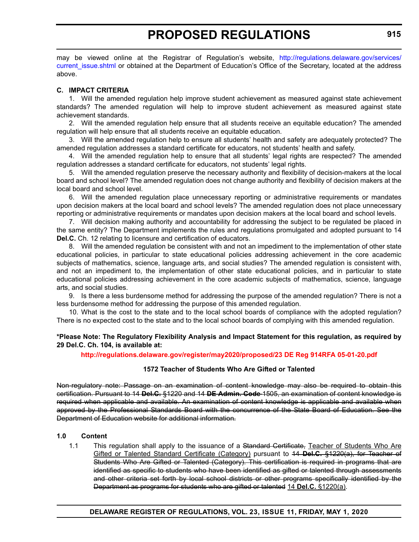may be viewed online at the Registrar of Regulation's website, [http://regulations.delaware.gov/services/](http://regulations.delaware.gov/services/current_issue.shtml) current issue.shtml or obtained at the Department of Education's Office of the Secretary, located at the address above.

#### **C. IMPACT CRITERIA**

1. Will the amended regulation help improve student achievement as measured against state achievement standards? The amended regulation will help to improve student achievement as measured against state achievement standards.

2. Will the amended regulation help ensure that all students receive an equitable education? The amended regulation will help ensure that all students receive an equitable education.

3. Will the amended regulation help to ensure all students' health and safety are adequately protected? The amended regulation addresses a standard certificate for educators, not students' health and safety.

4. Will the amended regulation help to ensure that all students' legal rights are respected? The amended regulation addresses a standard certificate for educators, not students' legal rights.

5. Will the amended regulation preserve the necessary authority and flexibility of decision-makers at the local board and school level? The amended regulation does not change authority and flexibility of decision makers at the local board and school level.

6. Will the amended regulation place unnecessary reporting or administrative requirements or mandates upon decision makers at the local board and school levels? The amended regulation does not place unnecessary reporting or administrative requirements or mandates upon decision makers at the local board and school levels.

7. Will decision making authority and accountability for addressing the subject to be regulated be placed in the same entity? The Department implements the rules and regulations promulgated and adopted pursuant to 14 **Del.C.** Ch. 12 relating to licensure and certification of educators.

8. Will the amended regulation be consistent with and not an impediment to the implementation of other state educational policies, in particular to state educational policies addressing achievement in the core academic subjects of mathematics, science, language arts, and social studies? The amended regulation is consistent with, and not an impediment to, the implementation of other state educational policies, and in particular to state educational policies addressing achievement in the core academic subjects of mathematics, science, language arts, and social studies.

9. Is there a less burdensome method for addressing the purpose of the amended regulation? There is not a less burdensome method for addressing the purpose of this amended regulation.

10. What is the cost to the state and to the local school boards of compliance with the adopted regulation? There is no expected cost to the state and to the local school boards of complying with this amended regulation.

#### **\*Please Note: The Regulatory Flexibility Analysis and Impact Statement for this regulation, as required by 29 Del.C. Ch. 104, is available at:**

#### **<http://regulations.delaware.gov/register/may2020/proposed/23 DE Reg 914RFA 05-01-20.pdf>**

#### **1572 Teacher of Students Who Are Gifted or Talented**

Non-regulatory note: Passage on an examination of content knowledge may also be required to obtain this certification. Pursuant to 14 **Del.C.** §1220 and 14 **DE Admin. Code** 1505, an examination of content knowledge is required when applicable and available. An examination of content knowledge is applicable and available when approved by the Professional Standards Board with the concurrence of the State Board of Education. See the Department of Education website for additional information.

#### **1.0 Content**

1.1 This regulation shall apply to the issuance of a Standard Certificate, Teacher of Students Who Are Gifted or Talented Standard Certificate (Category) pursuant to 14 **Del.C.** §1220(a), for Teacher of Students Who Are Gifted or Talented (Category). This certification is required in programs that are identified as specific to students who have been identified as gifted or talented through assessments and other criteria set forth by local school districts or other programs specifically identified by the Department as programs for students who are gifted or talented 14 **Del.C.** §1220(a).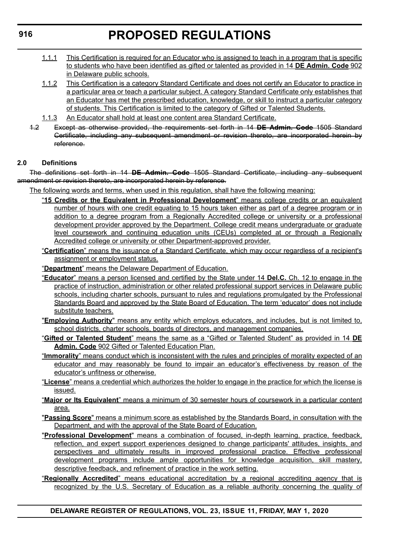- 1.1.1 This Certification is required for an Educator who is assigned to teach in a program that is specific to students who have been identified as gifted or talented as provided in 14 **DE Admin. Code** 902 in Delaware public schools.
- 1.1.2 This Certification is a category Standard Certificate and does not certify an Educator to practice in a particular area or teach a particular subject. A category Standard Certificate only establishes that an Educator has met the prescribed education, knowledge, or skill to instruct a particular category of students. This Certification is limited to the category of Gifted or Talented Students.
- 1.1.3 An Educator shall hold at least one content area Standard Certificate.
- 1.2 Except as otherwise provided, the requirements set forth in 14 **DE Admin. Code** 1505 Standard Certificate, including any subsequent amendment or revision thereto, are incorporated herein by reference.

#### **2.0 Definitions**

The definitions set forth in 14 **DE Admin. Code** 1505 Standard Certificate, including any subsequent amendment or revision thereto, are incorporated herein by reference.

The following words and terms, when used in this regulation, shall have the following meaning:

- "**15 Credits or the Equivalent in Professional Development**" means college credits or an equivalent number of hours with one credit equating to 15 hours taken either as part of a degree program or in addition to a degree program from a Regionally Accredited college or university or a professional development provider approved by the Department. College credit means undergraduate or graduate level coursework and continuing education units (CEUs) completed at or through a Regionally Accredited college or university or other Department-approved provider.
- "**Certification**" means the issuance of a Standard Certificate, which may occur regardless of a recipient's assignment or employment status.

"**Department**" means the Delaware Department of Education.

- "**Educator**" means a person licensed and certified by the State under 14 **Del.C.** Ch. 12 to engage in the practice of instruction, administration or other related professional support services in Delaware public schools, including charter schools, pursuant to rules and regulations promulgated by the Professional Standards Board and approved by the State Board of Education. The term 'educator' does not include substitute teachers.
- "**Employing Authority**" means any entity which employs educators, and includes, but is not limited to, school districts, charter schools, boards of directors, and management companies.
- "**Gifted or Talented Student**" means the same as a "Gifted or Talented Student" as provided in 14 **DE Admin. Code** 902 Gifted or Talented Education Plan.
- "**Immorality**" means conduct which is inconsistent with the rules and principles of morality expected of an educator and may reasonably be found to impair an educator's effectiveness by reason of the educator's unfitness or otherwise.
- "**License**" means a credential which authorizes the holder to engage in the practice for which the license is issued.
- "**Major or Its Equivalent**" means a minimum of 30 semester hours of coursework in a particular content area.
- "**Passing Score**" means a minimum score as established by the Standards Board, in consultation with the Department, and with the approval of the State Board of Education.
- "**Professional Development**" means a combination of focused, in-depth learning, practice, feedback, reflection, and expert support experiences designed to change participants' attitudes, insights, and perspectives and ultimately results in improved professional practice. Effective professional development programs include ample opportunities for knowledge acquisition, skill mastery, descriptive feedback, and refinement of practice in the work setting.
- "**Regionally Accredited**" means educational accreditation by a regional accrediting agency that is recognized by the U.S. Secretary of Education as a reliable authority concerning the quality of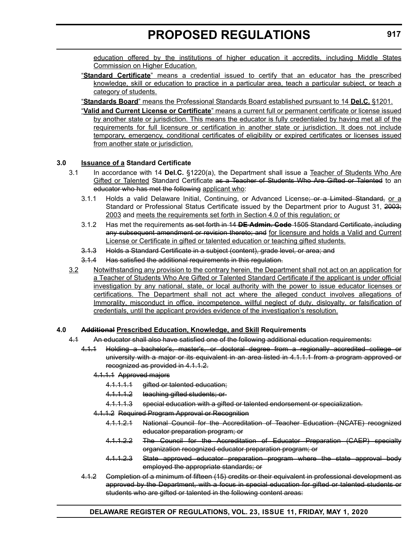education offered by the institutions of higher education it accredits, including Middle States Commission on Higher Education.

- "**Standard Certificate**" means a credential issued to certify that an educator has the prescribed knowledge, skill or education to practice in a particular area, teach a particular subject, or teach a category of students.
- "**Standards Board**" means the Professional Standards Board established pursuant to 14 **Del.C.** §1201.
- "**Valid and Current License or Certificate**" means a current full or permanent certificate or license issued by another state or jurisdiction. This means the educator is fully credentialed by having met all of the requirements for full licensure or certification in another state or jurisdiction. It does not include temporary, emergency, conditional certificates of eligibility or expired certificates or licenses issued from another state or jurisdiction.

#### **3.0 Issuance of a Standard Certificate**

- 3.1 In accordance with 14 **Del.C.** §1220(a), the Department shall issue a Teacher of Students Who Are Gifted or Talented Standard Certificate as a Teacher of Students Who Are Gifted or Talented to an educator who has met the following applicant who:
	- 3.1.1 Holds a valid Delaware Initial, Continuing, or Advanced License<del>; or a Limited Standard,</del> or a Standard or Professional Status Certificate issued by the Department prior to August 31, 2003; 2003 and meets the requirements set forth in Section 4.0 of this regulation; or
	- 3.1.2 Has met the requirements as set forth in 14 **DE Admin. Code** 1505 Standard Certificate, including any subsequent amendment or revision thereto; and for licensure and holds a Valid and Current License or Certificate in gifted or talented education or teaching gifted students.
	- 3.1.3 Holds a Standard Certificate in a subject (content), grade level, or area; and
	- 3.1.4 Has satisfied the additional requirements in this regulation.
- 3.2 Notwithstanding any provision to the contrary herein, the Department shall not act on an application for a Teacher of Students Who Are Gifted or Talented Standard Certificate if the applicant is under official investigation by any national, state, or local authority with the power to issue educator licenses or certifications. The Department shall not act where the alleged conduct involves allegations of Immorality, misconduct in office, incompetence, willful neglect of duty, disloyalty, or falsification of credentials, until the applicant provides evidence of the investigation's resolution.

#### **4.0 Additional Prescribed Education, Knowledge, and Skill Requirements**

- 4.1 An educator shall also have satisfied one of the following additional education requirements:
	- 4.1.1 Holding a bachelor's, master's, or doctoral degree from a regionally accredited college or university with a major or its equivalent in an area listed in 4.1.1.1 from a program approved or recognized as provided in 4.1.1.2.
		- 4.1.1.1 Approved majors
			- 4.1.1.1.1 gifted or talented education;
			- 4.1.1.1.2 teaching gifted students; or-
			- 4.1.1.1.3 special education with a gifted or talented endorsement or specialization.
		- 4.1.1.2 Required Program Approval or Recognition
			- 4.1.1.2.1 National Council for the Accreditation of Teacher Education (NCATE) recognized educator preparation program; or
			- 4.1.1.2.2 The Council for the Accreditation of Educator Preparation (CAEP) specialty organization recognized educator preparation program; or
			- 4.1.1.2.3 State approved educator preparation program where the state approval body employed the appropriate standards; or
	- 4.1.2 Completion of a minimum of fifteen (15) credits or their equivalent in professional development as approved by the Department, with a focus in special education for gifted or talented students or students who are gifted or talented in the following content areas: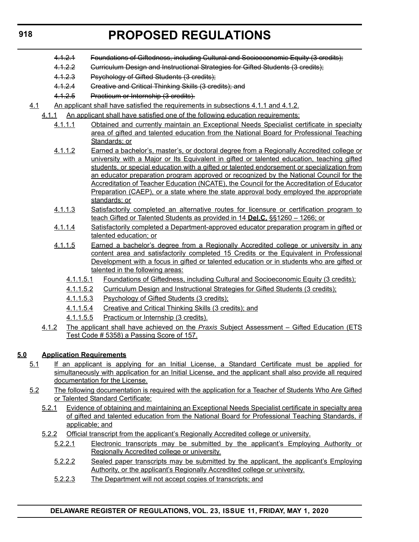- 4.1.2.1 Foundations of Giftedness, including Cultural and Socioeconomic Equity (3 credits);
- 4.1.2.2 Gurriculum Design and Instructional Strategies for Gifted Students (3 credits);
- 4.1.2.3 Psychology of Gifted Students (3 credits);
- 4.1.2.4 Creative and Critical Thinking Skills (3 credits); and
- 4.1.2.5 Practicum or Internship (3 credits).
- 4.1 An applicant shall have satisfied the requirements in subsections 4.1.1 and 4.1.2.
	- 4.1.1 An applicant shall have satisfied one of the following education requirements:
		- 4.1.1.1 Obtained and currently maintain an Exceptional Needs Specialist certificate in specialty area of gifted and talented education from the National Board for Professional Teaching Standards; or
		- 4.1.1.2 Earned a bachelor's, master's, or doctoral degree from a Regionally Accredited college or university with a Major or Its Equivalent in gifted or talented education, teaching gifted students, or special education with a gifted or talented endorsement or specialization from an educator preparation program approved or recognized by the National Council for the Accreditation of Teacher Education (NCATE), the Council for the Accreditation of Educator Preparation (CAEP), or a state where the state approval body employed the appropriate standards; or
		- 4.1.1.3 Satisfactorily completed an alternative routes for licensure or certification program to teach Gifted or Talented Students as provided in 14 **Del.C.** §§1260 – 1266; or
		- 4.1.1.4 Satisfactorily completed a Department-approved educator preparation program in gifted or talented education; or
		- 4.1.1.5 Earned a bachelor's degree from a Regionally Accredited college or university in any content area and satisfactorily completed 15 Credits or the Equivalent in Professional Development with a focus in gifted or talented education or in students who are gifted or talented in the following areas:
			- 4.1.1.5.1 Foundations of Giftedness, including Cultural and Socioeconomic Equity (3 credits);
			- 4.1.1.5.2 Curriculum Design and Instructional Strategies for Gifted Students (3 credits);
			- 4.1.1.5.3 Psychology of Gifted Students (3 credits);
			- 4.1.1.5.4 Creative and Critical Thinking Skills (3 credits); and
			- 4.1.1.5.5 Practicum or Internship (3 credits).
	- 4.1.2 The applicant shall have achieved on the *Praxis* Subject Assessment Gifted Education (ETS Test Code # 5358) a Passing Score of 157.

#### **5.0 Application Requirements**

- 5.1 If an applicant is applying for an Initial License, a Standard Certificate must be applied for simultaneously with application for an Initial License, and the applicant shall also provide all required documentation for the License.
- 5.2 The following documentation is required with the application for a Teacher of Students Who Are Gifted or Talented Standard Certificate:
	- 5.2.1 Evidence of obtaining and maintaining an Exceptional Needs Specialist certificate in specialty area of gifted and talented education from the National Board for Professional Teaching Standards, if applicable; and
	- 5.2.2 Official transcript from the applicant's Regionally Accredited college or university.
		- 5.2.2.1 Electronic transcripts may be submitted by the applicant's Employing Authority or Regionally Accredited college or university.
		- 5.2.2.2 Sealed paper transcripts may be submitted by the applicant, the applicant's Employing Authority, or the applicant's Regionally Accredited college or university.
		- 5.2.2.3 The Department will not accept copies of transcripts; and

#### **DELAWARE REGISTER OF REGULATIONS, VOL. 23, ISSUE 11, FRIDAY, MAY 1, 2020**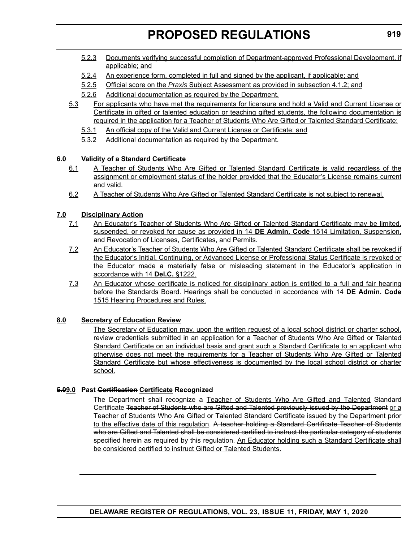- 5.2.3 Documents verifying successful completion of Department-approved Professional Development, if applicable; and
- 5.2.4 An experience form, completed in full and signed by the applicant, if applicable; and
- 5.2.5 Official score on the *Praxis* Subject Assessment as provided in subsection 4.1.2; and
- 5.2.6 Additional documentation as required by the Department.
- 5.3 For applicants who have met the requirements for licensure and hold a Valid and Current License or Certificate in gifted or talented education or teaching gifted students, the following documentation is required in the application for a Teacher of Students Who Are Gifted or Talented Standard Certificate:
	- 5.3.1 An official copy of the Valid and Current License or Certificate; and
	- 5.3.2 Additional documentation as required by the Department.

#### **6.0 Validity of a Standard Certificate**

- 6.1 A Teacher of Students Who Are Gifted or Talented Standard Certificate is valid regardless of the assignment or employment status of the holder provided that the Educator's License remains current and valid.
- 6.2 A Teacher of Students Who Are Gifted or Talented Standard Certificate is not subject to renewal.

#### **7.0 Disciplinary Action**

- 7.1 An Educator's Teacher of Students Who Are Gifted or Talented Standard Certificate may be limited, suspended, or revoked for cause as provided in 14 **DE Admin. Code** 1514 Limitation, Suspension, and Revocation of Licenses, Certificates, and Permits.
- 7.2 An Educator's Teacher of Students Who Are Gifted or Talented Standard Certificate shall be revoked if the Educator's Initial, Continuing, or Advanced License or Professional Status Certificate is revoked or the Educator made a materially false or misleading statement in the Educator's application in accordance with 14 **Del.C.** §1222.
- 7.3 An Educator whose certificate is noticed for disciplinary action is entitled to a full and fair hearing before the Standards Board. Hearings shall be conducted in accordance with 14 **DE Admin. Code** 1515 Hearing Procedures and Rules.

#### **8.0 Secretary of Education Review**

The Secretary of Education may, upon the written request of a local school district or charter school, review credentials submitted in an application for a Teacher of Students Who Are Gifted or Talented Standard Certificate on an individual basis and grant such a Standard Certificate to an applicant who otherwise does not meet the requirements for a Teacher of Students Who Are Gifted or Talented Standard Certificate but whose effectiveness is documented by the local school district or charter school.

#### **5.09.0 Past Certification Certificate Recognized**

The Department shall recognize a Teacher of Students Who Are Gifted and Talented Standard Certificate Teacher of Students who are Gifted and Talented previously issued by the Department or a Teacher of Students Who Are Gifted or Talented Standard Certificate issued by the Department prior to the effective date of this regulation. A teacher holding a Standard Certificate Teacher of Students who are Gifted and Talented shall be considered certified to instruct the particular category of students specified herein as required by this regulation. An Educator holding such a Standard Certificate shall be considered certified to instruct Gifted or Talented Students.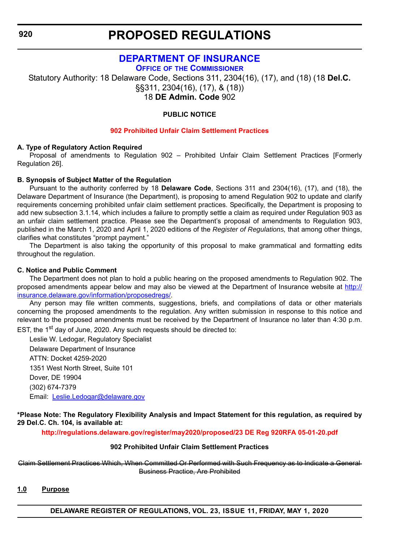### **[DEPARTMENT OF INSURANCE](https://insurance.delaware.gov/)**

**OFFICE OF [THE COMMISSIONER](https://insurance.delaware.gov/bio/)**

<span id="page-22-0"></span>Statutory Authority: 18 Delaware Code, Sections 311, 2304(16), (17), and (18) (18 **Del.C.**  §§311, 2304(16), (17), & (18)) 18 **DE Admin. Code** 902

#### **PUBLIC NOTICE**

#### **[902 Prohibited Unfair Claim Settlement Practices](#page-3-0)**

#### **A. Type of Regulatory Action Required**

Proposal of amendments to Regulation 902 – Prohibited Unfair Claim Settlement Practices [Formerly Regulation 26].

#### **B. Synopsis of Subject Matter of the Regulation**

Pursuant to the authority conferred by 18 **Delaware Code**, Sections 311 and 2304(16), (17), and (18), the Delaware Department of Insurance (the Department), is proposing to amend Regulation 902 to update and clarify requirements concerning prohibited unfair claim settlement practices. Specifically, the Department is proposing to add new subsection 3.1.14, which includes a failure to promptly settle a claim as required under Regulation 903 as an unfair claim settlement practice. Please see the Department's proposal of amendments to Regulation 903, published in the March 1, 2020 and April 1, 2020 editions of the *Register of Regulations,* that among other things, clarifies what constitutes "prompt payment."

The Department is also taking the opportunity of this proposal to make grammatical and formatting edits throughout the regulation.

#### **C. Notice and Public Comment**

The Department does not plan to hold a public hearing on the proposed amendments to Regulation 902. The proposed amendments appear below and may also be viewed at the Department of Insurance website at [http://](http://insurance.delaware.gov/information/proposedregs/) [insurance.delaware.gov/information/proposedregs/.](http://insurance.delaware.gov/information/proposedregs/)

Any person may file written comments, suggestions, briefs, and compilations of data or other materials concerning the proposed amendments to the regulation. Any written submission in response to this notice and relevant to the proposed amendments must be received by the Department of Insurance no later than 4:30 p.m. EST, the 1<sup>st</sup> day of June, 2020. Any such requests should be directed to:

Leslie W. Ledogar, Regulatory Specialist Delaware Department of Insurance ATTN: Docket 4259-2020 1351 West North Street, Suite 101 Dover, DE 19904 (302) 674-7379 Email: [Leslie.Ledogar@delaware.gov](mailto:Leslie.Ledogar@delaware.gov)

#### **\*Please Note: The Regulatory Flexibility Analysis and Impact Statement for this regulation, as required by 29 Del.C. Ch. 104, is available at:**

**<http://regulations.delaware.gov/register/may2020/proposed/23 DE Reg 920RFA 05-01-20.pdf>**

#### **902 Prohibited Unfair Claim Settlement Practices**

Claim Settlement Practices Which, When Committed Or Performed with Such Frequency as to Indicate a General Business Practice, Are Prohibited

#### **1.0 Purpose**

**DELAWARE REGISTER OF REGULATIONS, VOL. 23, ISSUE 11, FRIDAY, MAY 1, 2020**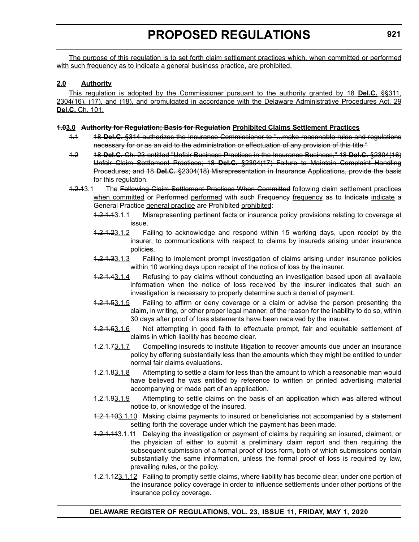The purpose of this regulation is to set forth claim settlement practices which, when committed or performed with such frequency as to indicate a general business practice, are prohibited.

#### **2.0 Authority**

This regulation is adopted by the Commissioner pursuant to the authority granted by 18 **Del.C.** §§311, 2304(16), (17), and (18), and promulgated in accordance with the Delaware Administrative Procedures Act, 29 **Del.C.** Ch. 101.

#### **1.03.0 Authority for Regulation; Basis for Regulation Prohibited Claims Settlement Practices**

- 1.1 18 **Del.C.** §314 authorizes the Insurance Commissioner to "...make reasonable rules and regulations necessary for or as an aid to the administration or effectuation of any provision of this title."
- 1.2 18 **Del.C.** Ch. 23 entitled "Unfair Business Practices in the Insurance Business," 18 **Del.C.** §2304(16) Unfair Claim Settlement Practices; 18 **Del.C.** §2304(17) Failure to Maintain Complaint Handling Procedures; and 18 **Del.C.** §2304(18) Misrepresentation in Insurance Applications, provide the basis for this regulation.
- 1.2.13.1 The Following Claim Settlement Practices When Committed following claim settlement practices when committed or Performed performed with such Frequency frequency as to Indicate indicate a General Practice general practice are Prohibited prohibited:
	- 1.2.1.13.1.1 Misrepresenting pertinent facts or insurance policy provisions relating to coverage at issue.
	- 1.2.1.23.1.2 Failing to acknowledge and respond within 15 working days, upon receipt by the insurer, to communications with respect to claims by insureds arising under insurance policies.
	- 1.2.1.33.1.3 Failing to implement prompt investigation of claims arising under insurance policies within 10 working days upon receipt of the notice of loss by the insurer.
	- 1.2.1.43.1.4 Refusing to pay claims without conducting an investigation based upon all available information when the notice of loss received by the insurer indicates that such an investigation is necessary to properly determine such a denial of payment.
	- 1.2.1.53.1.5 Failing to affirm or deny coverage or a claim or advise the person presenting the claim, in writing, or other proper legal manner, of the reason for the inability to do so, within 30 days after proof of loss statements have been received by the insurer.
	- 1.2.1.63.1.6 Not attempting in good faith to effectuate prompt, fair and equitable settlement of claims in which liability has become clear.
	- 1.2.1.73.1.7 Compelling insureds to institute litigation to recover amounts due under an insurance policy by offering substantially less than the amounts which they might be entitled to under normal fair claims evaluations.
	- 1.2.1.83.1.8 Attempting to settle a claim for less than the amount to which a reasonable man would have believed he was entitled by reference to written or printed advertising material accompanying or made part of an application.
	- 1.2.1.93.1.9 Attempting to settle claims on the basis of an application which was altered without notice to, or knowledge of the insured.
	- 1.2.1.103.1.10 Making claims payments to insured or beneficiaries not accompanied by a statement setting forth the coverage under which the payment has been made.
	- 1.2.1.113.1.11 Delaying the investigation or payment of claims by requiring an insured, claimant, or the physician of either to submit a preliminary claim report and then requiring the subsequent submission of a formal proof of loss form, both of which submissions contain substantially the same information, unless the formal proof of loss is required by law, prevailing rules, or the policy.
	- 1.2.1.123.1.12 Failing to promptly settle claims, where liability has become clear, under one portion of the insurance policy coverage in order to influence settlements under other portions of the insurance policy coverage.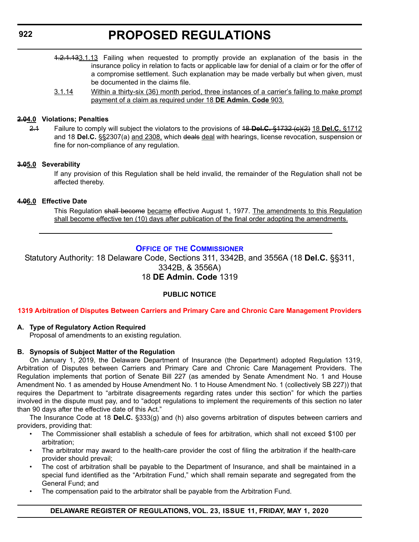<span id="page-24-0"></span>**922**

# **PROPOSED REGULATIONS**

- 1.2.1.133.1.13 Failing when requested to promptly provide an explanation of the basis in the insurance policy in relation to facts or applicable law for denial of a claim or for the offer of a compromise settlement. Such explanation may be made verbally but when given, must be documented in the claims file.
- 3.1.14 Within a thirty-six (36) month period, three instances of a carrier's failing to make prompt payment of a claim as required under 18 **DE Admin. Code** 903.

#### **2.04.0 Violations; Penalties**

2.1 Failure to comply will subject the violators to the provisions of 18 **Del.C.** §1732 (c)(2) 18 **Del.C.** §1712 and 18 **Del.C.** §§2307(a) and 2308, which deals deal with hearings, license revocation, suspension or fine for non-compliance of any regulation.

#### **3.05.0 Severability**

If any provision of this Regulation shall be held invalid, the remainder of the Regulation shall not be affected thereby.

#### **4.06.0 Effective Date**

This Regulation shall become became effective August 1, 1977. The amendments to this Regulation shall become effective ten (10) days after publication of the final order adopting the amendments.

### **OFFICE OF [THE COMMISSIONER](https://insurance.delaware.gov/bio/)**

Statutory Authority: 18 Delaware Code, Sections 311, 3342B, and 3556A (18 **Del.C.** §§311, 3342B, & 3556A) 18 **DE Admin. Code** 1319

#### **PUBLIC NOTICE**

#### **[1319 Arbitration of Disputes Between Carriers and Primary Care and Chronic Care Management Providers](#page-3-0)**

#### **A. Type of Regulatory Action Required**

Proposal of amendments to an existing regulation.

#### **B. Synopsis of Subject Matter of the Regulation**

On January 1, 2019, the Delaware Department of Insurance (the Department) adopted Regulation 1319, Arbitration of Disputes between Carriers and Primary Care and Chronic Care Management Providers. The Regulation implements that portion of Senate Bill 227 (as amended by Senate Amendment No. 1 and House Amendment No. 1 as amended by House Amendment No. 1 to House Amendment No. 1 (collectively SB 227)) that requires the Department to "arbitrate disagreements regarding rates under this section" for which the parties involved in the dispute must pay, and to "adopt regulations to implement the requirements of this section no later than 90 days after the effective date of this Act."

The Insurance Code at 18 **Del.C.** §333(g) and (h) also governs arbitration of disputes between carriers and providers, providing that:

- The Commissioner shall establish a schedule of fees for arbitration, which shall not exceed \$100 per arbitration;
- The arbitrator may award to the health-care provider the cost of filing the arbitration if the health-care provider should prevail;
- The cost of arbitration shall be payable to the Department of Insurance, and shall be maintained in a special fund identified as the "Arbitration Fund," which shall remain separate and segregated from the General Fund; and
- The compensation paid to the arbitrator shall be payable from the Arbitration Fund.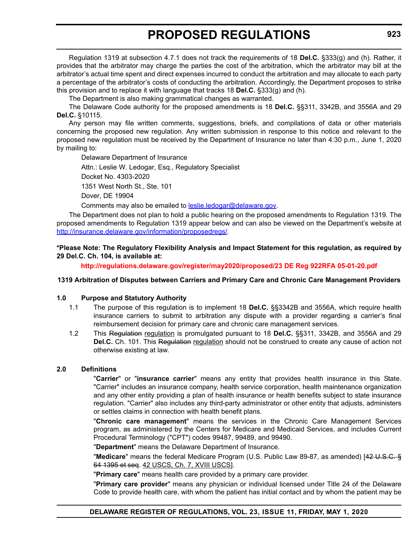Regulation 1319 at subsection 4.7.1 does not track the requirements of 18 **Del.C.** §333(g) and (h). Rather, it provides that the arbitrator may charge the parties the cost of the arbitration, which the arbitrator may bill at the arbitrator's actual time spent and direct expenses incurred to conduct the arbitration and may allocate to each party a percentage of the arbitrator's costs of conducting the arbitration. Accordingly, the Department proposes to strike this provision and to replace it with language that tracks 18 **Del.C.** §333(g) and (h).

The Department is also making grammatical changes as warranted.

The Delaware Code authority for the proposed amendments is 18 **Del.C.** §§311, 3342B, and 3556A and 29 **Del.C.** §10115.

Any person may file written comments, suggestions, briefs, and compilations of data or other materials concerning the proposed new regulation. Any written submission in response to this notice and relevant to the proposed new regulation must be received by the Department of Insurance no later than 4:30 p.m., June 1, 2020 by mailing to:

Delaware Department of Insurance

Attn.: Leslie W. Ledogar, Esq., Regulatory Specialist Docket No. 4303-2020 1351 West North St., Ste. 101

Dover, DE 19904

Comments may also be emailed to [leslie.ledogar@delaware.g](mailto:leslie.ledogar@delaware.gov)ov.

The Department does not plan to hold a public hearing on the proposed amendments to Regulation 1319. The proposed amendments to Regulation 1319 appear below and can also be viewed on the Department's website at <http://insurance.delaware.gov/information/proposedregs/>.

**\*Please Note: The Regulatory Flexibility Analysis and Impact Statement for this regulation, as required by 29 Del.C. Ch. 104, is available at:**

**<http://regulations.delaware.gov/register/may2020/proposed/23 DE Reg 922RFA 05-01-20.pdf>**

#### **1319 Arbitration of Disputes between Carriers and Primary Care and Chronic Care Management Providers**

#### **1.0 Purpose and Statutory Authority**

- 1.1 The purpose of this regulation is to implement 18 **Del.C.** §§3342B and 3556A, which require health insurance carriers to submit to arbitration any dispute with a provider regarding a carrier's final reimbursement decision for primary care and chronic care management services.
- 1.2 This Regulation regulation is promulgated pursuant to 18 **Del.C.** §§311, 3342B, and 3556A and 29 **Del.C.** Ch. 101. This Regulation regulation should not be construed to create any cause of action not otherwise existing at law.

#### **2.0 Definitions**

"**Carrier**" or "**insurance carrier**" means any entity that provides health insurance in this State. "Carrier" includes an insurance company, health service corporation, health maintenance organization and any other entity providing a plan of health insurance or health benefits subject to state insurance regulation. "Carrier" also includes any third-party administrator or other entity that adjusts, administers or settles claims in connection with health benefit plans.

"**Chronic care management**" means the services in the Chronic Care Management Services program, as administered by the Centers for Medicare and Medicaid Services, and includes Current Procedural Terminology ("CPT") codes 99487, 99489, and 99490.

"**Department**" means the Delaware Department of Insurance.

"**Medicare**" means the federal Medicare Program (U.S. Public Law 89-87, as amended) [42 U.S.C. § 64 1395 et seq. 42 USCS, Ch. 7, XVIII USCS].

"**Primary care**" means health care provided by a primary care provider.

"**Primary care provider**" means any physician or individual licensed under Title 24 of the Delaware Code to provide health care, with whom the patient has initial contact and by whom the patient may be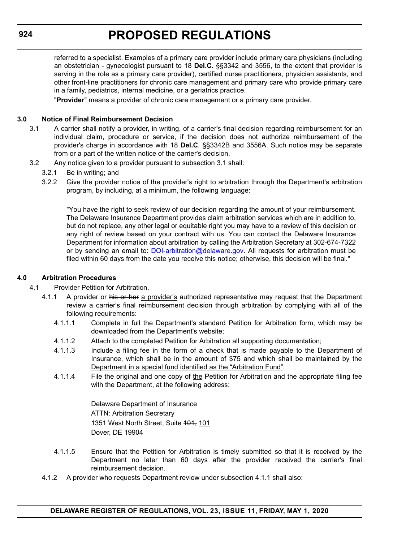referred to a specialist. Examples of a primary care provider include primary care physicians (including an obstetrician - gynecologist pursuant to 18 **Del.C.** §§3342 and 3556, to the extent that provider is serving in the role as a primary care provider), certified nurse practitioners, physician assistants, and other front-line practitioners for chronic care management and primary care who provide primary care in a family, pediatrics, internal medicine, or a geriatrics practice.

"**Provider**" means a provider of chronic care management or a primary care provider.

#### **3.0 Notice of Final Reimbursement Decision**

- 3.1 A carrier shall notify a provider, in writing, of a carrier's final decision regarding reimbursement for an individual claim, procedure or service, if the decision does not authorize reimbursement of the provider's charge in accordance with 18 **Del.C**. §§3342B and 3556A. Such notice may be separate from or a part of the written notice of the carrier's decision.
- 3.2 Any notice given to a provider pursuant to subsection 3.1 shall:
	- 3.2.1 Be in writing; and
	- 3.2.2 Give the provider notice of the provider's right to arbitration through the Department's arbitration program, by including, at a minimum, the following language:

"You have the right to seek review of our decision regarding the amount of your reimbursement. The Delaware Insurance Department provides claim arbitration services which are in addition to, but do not replace, any other legal or equitable right you may have to a review of this decision or any right of review based on your contract with us. You can contact the Delaware Insurance Department for information about arbitration by calling the Arbitration Secretary at 302-674-7322 or by sending an email to: [DOI-arbitration@delaware.gov.](mailto:DOI-arbitration@delaware.gov) All requests for arbitration must be filed within 60 days from the date you receive this notice; otherwise, this decision will be final."

#### **4.0 Arbitration Procedures**

- 4.1 Provider Petition for Arbitration.
	- 4.1.1 A provider or his or her a provider's authorized representative may request that the Department review a carrier's final reimbursement decision through arbitration by complying with all of the following requirements:
		- 4.1.1.1 Complete in full the Department's standard Petition for Arbitration form, which may be downloaded from the Department's website;
		- 4.1.1.2 Attach to the completed Petition for Arbitration all supporting documentation;
		- 4.1.1.3 Include a filing fee in the form of a check that is made payable to the Department of Insurance, which shall be in the amount of \$75 and which shall be maintained by the Department in a special fund identified as the "Arbitration Fund";
		- 4.1.1.4 File the original and one copy of the Petition for Arbitration and the appropriate filing fee with the Department, at the following address:

Delaware Department of Insurance ATTN: Arbitration Secretary 1351 West North Street, Suite 404, 101 Dover, DE 19904

- 4.1.1.5 Ensure that the Petition for Arbitration is timely submitted so that it is received by the Department no later than 60 days after the provider received the carrier's final reimbursement decision.
- 4.1.2 A provider who requests Department review under subsection 4.1.1 shall also: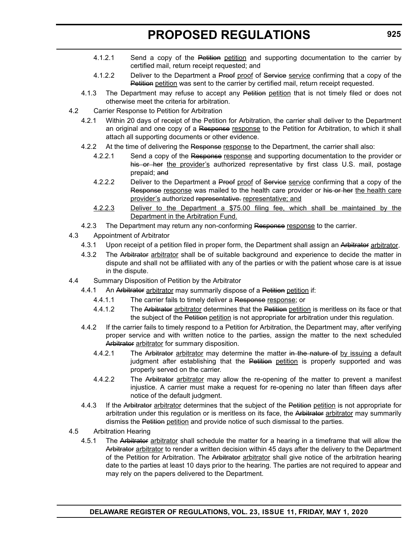- 4.1.2.1 Send a copy of the Petition petition and supporting documentation to the carrier by certified mail, return receipt requested; and
- 4.1.2.2 Deliver to the Department a Proof proof of Service service confirming that a copy of the Petition petition was sent to the carrier by certified mail, return receipt requested.
- 4.1.3 The Department may refuse to accept any Petition petition that is not timely filed or does not otherwise meet the criteria for arbitration.
- 4.2 Carrier Response to Petition for Arbitration
	- 4.2.1 Within 20 days of receipt of the Petition for Arbitration, the carrier shall deliver to the Department an original and one copy of a Response response to the Petition for Arbitration, to which it shall attach all supporting documents or other evidence.
	- 4.2.2 At the time of delivering the Response response to the Department, the carrier shall also:
		- 4.2.2.1 Send a copy of the Response response and supporting documentation to the provider or his or her the provider's authorized representative by first class U.S. mail, postage prepaid; and
		- 4.2.2.2 Deliver to the Department a Proof proof of Service service confirming that a copy of the Response response was mailed to the health care provider or his or her the health care provider's authorized representative. representative; and
		- 4.2.2.3 Deliver to the Department a \$75.00 filing fee, which shall be maintained by the Department in the Arbitration Fund.
	- 4.2.3 The Department may return any non-conforming Response response to the carrier.
- 4.3 Appointment of Arbitrator
	- 4.3.1 Upon receipt of a petition filed in proper form, the Department shall assign an Arbitrator arbitrator.
	- 4.3.2 The Arbitrator arbitrator shall be of suitable background and experience to decide the matter in dispute and shall not be affiliated with any of the parties or with the patient whose care is at issue in the dispute.
- 4.4 Summary Disposition of Petition by the Arbitrator
	- 4.4.1 An Arbitrator arbitrator may summarily dispose of a Petition petition if:
		- 4.4.1.1 The carrier fails to timely deliver a Response response; or
		- 4.4.1.2 The Arbitrator arbitrator determines that the Petition petition is meritless on its face or that the subject of the Petition petition is not appropriate for arbitration under this regulation.
	- 4.4.2 If the carrier fails to timely respond to a Petition for Arbitration, the Department may, after verifying proper service and with written notice to the parties, assign the matter to the next scheduled Arbitrator arbitrator for summary disposition.
		- 4.4.2.1 The Arbitrator arbitrator may determine the matter in the nature of by issuing a default judgment after establishing that the Petition petition is properly supported and was properly served on the carrier.
		- 4.4.2.2 The Arbitrator arbitrator may allow the re-opening of the matter to prevent a manifest injustice. A carrier must make a request for re-opening no later than fifteen days after notice of the default judgment.
	- 4.4.3 If the Arbitrator arbitrator determines that the subject of the Petition petition is not appropriate for arbitration under this regulation or is meritless on its face, the Arbitrator arbitrator may summarily dismiss the Petition petition and provide notice of such dismissal to the parties.
- 4.5 Arbitration Hearing
	- 4.5.1 The Arbitrator arbitrator shall schedule the matter for a hearing in a timeframe that will allow the Arbitrator arbitrator to render a written decision within 45 days after the delivery to the Department of the Petition for Arbitration. The Arbitrator arbitrator shall give notice of the arbitration hearing date to the parties at least 10 days prior to the hearing. The parties are not required to appear and may rely on the papers delivered to the Department.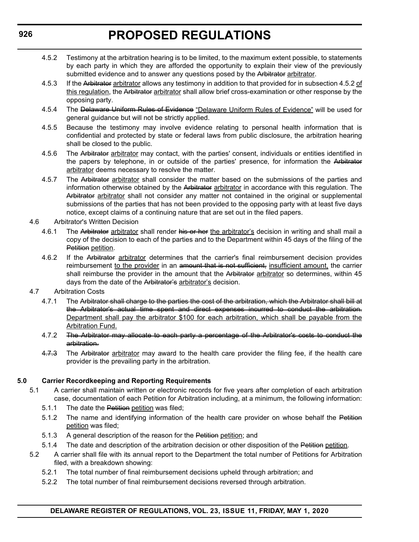- 4.5.2 Testimony at the arbitration hearing is to be limited, to the maximum extent possible, to statements by each party in which they are afforded the opportunity to explain their view of the previously submitted evidence and to answer any questions posed by the Arbitrator arbitrator.
- 4.5.3 If the Arbitrator arbitrator allows any testimony in addition to that provided for in subsection 4.5.2 of this regulation, the Arbitrator arbitrator shall allow brief cross-examination or other response by the opposing party.
- 4.5.4 The Delaware Uniform Rules of Evidence "Delaware Uniform Rules of Evidence" will be used for general guidance but will not be strictly applied.
- 4.5.5 Because the testimony may involve evidence relating to personal health information that is confidential and protected by state or federal laws from public disclosure, the arbitration hearing shall be closed to the public.
- 4.5.6 The Arbitrator arbitrator may contact, with the parties' consent, individuals or entities identified in the papers by telephone, in or outside of the parties' presence, for information the Arbitrator arbitrator deems necessary to resolve the matter.
- 4.5.7 The Arbitrator arbitrator shall consider the matter based on the submissions of the parties and information otherwise obtained by the Arbitrator arbitrator in accordance with this regulation. The Arbitrator arbitrator shall not consider any matter not contained in the original or supplemental submissions of the parties that has not been provided to the opposing party with at least five days notice, except claims of a continuing nature that are set out in the filed papers.
- 4.6 Arbitrator's Written Decision
	- 4.6.1 The Arbitrator arbitrator shall render his or her the arbitrator's decision in writing and shall mail a copy of the decision to each of the parties and to the Department within 45 days of the filing of the Petition petition.
	- 4.6.2 If the Arbitrator arbitrator determines that the carrier's final reimbursement decision provides reimbursement to the provider in an amount that is not sufficient, insufficient amount, the carrier shall reimburse the provider in the amount that the Arbitrator arbitrator so determines, within 45 days from the date of the Arbitrator's arbitrator's decision.
- 4.7 Arbitration Costs
	- 4.7.1 The Arbitrator shall charge to the parties the cost of the arbitration, which the Arbitrator shall bill at the Arbitrator's actual time spent and direct expenses incurred to conduct the arbitration. Department shall pay the arbitrator \$100 for each arbitration, which shall be payable from the Arbitration Fund.
	- 4.7.2 The Arbitrator may allocate to each party a percentage of the Arbitrator's costs to conduct the arbitration.
	- 4.7.3 The Arbitrator arbitrator may award to the health care provider the filing fee, if the health care provider is the prevailing party in the arbitration.

#### **5.0 Carrier Recordkeeping and Reporting Requirements**

- 5.1 A carrier shall maintain written or electronic records for five years after completion of each arbitration case, documentation of each Petition for Arbitration including, at a minimum, the following information:
	- 5.1.1 The date the Petition petition was filed;
	- 5.1.2 The name and identifying information of the health care provider on whose behalf the Petition petition was filed;
	- 5.1.3 A general description of the reason for the Petition petition; and
	- 5.1.4 The date and description of the arbitration decision or other disposition of the Petition petition.
- 5.2 A carrier shall file with its annual report to the Department the total number of Petitions for Arbitration filed, with a breakdown showing:
	- 5.2.1 The total number of final reimbursement decisions upheld through arbitration; and
	- 5.2.2 The total number of final reimbursement decisions reversed through arbitration.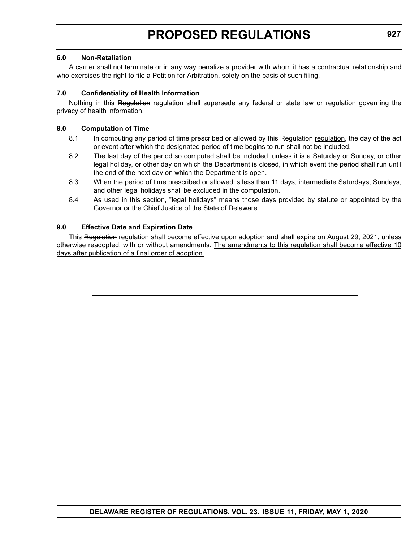#### **6.0 Non-Retaliation**

A carrier shall not terminate or in any way penalize a provider with whom it has a contractual relationship and who exercises the right to file a Petition for Arbitration, solely on the basis of such filing.

#### **7.0 Confidentiality of Health Information**

Nothing in this Regulation regulation shall supersede any federal or state law or regulation governing the privacy of health information.

#### **8.0 Computation of Time**

- 8.1 In computing any period of time prescribed or allowed by this Regulation regulation, the day of the act or event after which the designated period of time begins to run shall not be included.
- 8.2 The last day of the period so computed shall be included, unless it is a Saturday or Sunday, or other legal holiday, or other day on which the Department is closed, in which event the period shall run until the end of the next day on which the Department is open.
- 8.3 When the period of time prescribed or allowed is less than 11 days, intermediate Saturdays, Sundays, and other legal holidays shall be excluded in the computation.
- 8.4 As used in this section, "legal holidays" means those days provided by statute or appointed by the Governor or the Chief Justice of the State of Delaware.

#### **9.0 Effective Date and Expiration Date**

This Regulation regulation shall become effective upon adoption and shall expire on August 29, 2021, unless otherwise readopted, with or without amendments. The amendments to this regulation shall become effective 10 days after publication of a final order of adoption.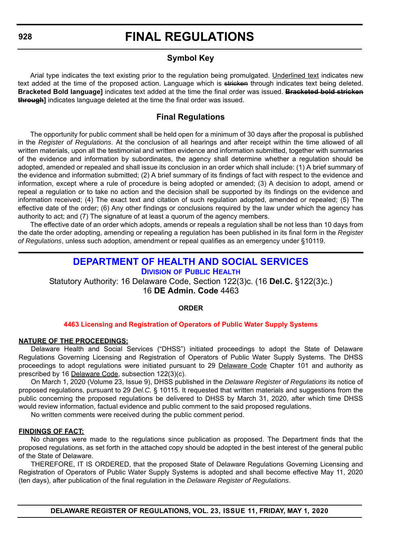### **Symbol Key**

<span id="page-30-0"></span>Arial type indicates the text existing prior to the regulation being promulgated. Underlined text indicates new text added at the time of the proposed action. Language which is stricken through indicates text being deleted. **Bracketed Bold language]** indicates text added at the time the final order was issued. **Bracketed bold stricken through]** indicates language deleted at the time the final order was issued.

### **Final Regulations**

The opportunity for public comment shall be held open for a minimum of 30 days after the proposal is published in the *Register of Regulations*. At the conclusion of all hearings and after receipt within the time allowed of all written materials, upon all the testimonial and written evidence and information submitted, together with summaries of the evidence and information by subordinates, the agency shall determine whether a regulation should be adopted, amended or repealed and shall issue its conclusion in an order which shall include: (1) A brief summary of the evidence and information submitted; (2) A brief summary of its findings of fact with respect to the evidence and information, except where a rule of procedure is being adopted or amended; (3) A decision to adopt, amend or repeal a regulation or to take no action and the decision shall be supported by its findings on the evidence and information received; (4) The exact text and citation of such regulation adopted, amended or repealed; (5) The effective date of the order; (6) Any other findings or conclusions required by the law under which the agency has authority to act; and (7) The signature of at least a quorum of the agency members.

The effective date of an order which adopts, amends or repeals a regulation shall be not less than 10 days from the date the order adopting, amending or repealing a regulation has been published in its final form in the *Register of Regulations*, unless such adoption, amendment or repeal qualifies as an emergency under §10119.

### **[DEPARTMENT OF HEALTH AND SOCIAL SERVICES](https://www.dhss.delaware.gov/dhss/index.html)**

**DIVISION [OF PUBLIC HEALTH](https://www.dhss.delaware.gov/dhss/dph/index.html)**

Statutory Authority: 16 Delaware Code, Section 122(3)c. (16 **Del.C.** §122(3)c.)

16 **DE Admin. Code** 4463

#### **ORDER**

#### **[4463 Licensing and Registration of Operators of Public Water Supply Systems](#page-3-0)**

#### **NATURE OF THE PROCEEDINGS:**

Delaware Health and Social Services ("DHSS") initiated proceedings to adopt the State of Delaware Regulations Governing Licensing and Registration of Operators of Public Water Supply Systems. The DHSS proceedings to adopt regulations were initiated pursuant to 29 Delaware Code Chapter 101 and authority as prescribed by 16 Delaware Code, subsection 122(3)(c).

On March 1, 2020 (Volume 23, Issue 9), DHSS published in the *Delaware Register of Regulations* its notice of proposed regulations, pursuant to 29 *Del.C.* § 10115. It requested that written materials and suggestions from the public concerning the proposed regulations be delivered to DHSS by March 31, 2020, after which time DHSS would review information, factual evidence and public comment to the said proposed regulations.

No written comments were received during the public comment period.

#### **FINDINGS OF FACT:**

No changes were made to the regulations since publication as proposed. The Department finds that the proposed regulations, as set forth in the attached copy should be adopted in the best interest of the general public of the State of Delaware.

THEREFORE, IT IS ORDERED, that the proposed State of Delaware Regulations Governing Licensing and Registration of Operators of Public Water Supply Systems is adopted and shall become effective May 11, 2020 (ten days), after publication of the final regulation in the *Delaware Register of Regulations*.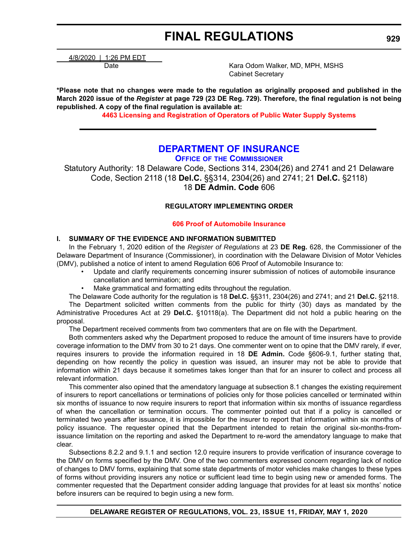<span id="page-31-0"></span>4/8/2020 | 1:26 PM EDT

Date **Mathem Common Contract Contract Contract Contract Contract Contract Contract Contract Contract Contract Contract Contract Contract Contract Contract Contract Contract Contract Contract Contract Contract Contract Cont** Cabinet Secretary

**\*Please note that no changes were made to the regulation as originally proposed and published in the March 2020 issue of the** *Register* **at page 729 (23 DE Reg. 729). Therefore, the final regulation is not being republished. A copy of the final regulation is available at:**

**[4463 Licensing and Registration of Operators of Public Water Supply Systems](http://regulations.delaware.gov/register/may2020/final/23 DE Reg 928 05-01-20.htm)**

### **[DEPARTMENT OF INSURANCE](https://insurance.delaware.gov/)**

**OFFICE OF [THE COMMISSIONER](https://insurance.delaware.gov/bio/)**

Statutory Authority: 18 Delaware Code, Sections 314, 2304(26) and 2741 and 21 Delaware Code, Section 2118 (18 **Del.C.** §§314, 2304(26) and 2741; 21 **Del.C.** §2118) 18 **DE Admin. Code** 606

#### **REGULATORY IMPLEMENTING ORDER**

#### **[606 Proof of Automobile Insurance](#page-3-0)**

#### **I. SUMMARY OF THE EVIDENCE AND INFORMATION SUBMITTED**

In the February 1, 2020 edition of the *Register of Regulations* at 23 **DE Reg.** 628, the Commissioner of the Delaware Department of Insurance (Commissioner), in coordination with the Delaware Division of Motor Vehicles (DMV), published a notice of intent to amend Regulation 606 Proof of Automobile Insurance to:

- Update and clarify requirements concerning insurer submission of notices of automobile insurance cancellation and termination; and
- Make grammatical and formatting edits throughout the regulation.

The Delaware Code authority for the regulation is 18 **Del.C.** §§311, 2304(26) and 2741; and 21 **Del.C.** §2118.

The Department solicited written comments from the public for thirty (30) days as mandated by the Administrative Procedures Act at 29 **Del.C.** §10118(a). The Department did not hold a public hearing on the proposal.

The Department received comments from two commenters that are on file with the Department.

Both commenters asked why the Department proposed to reduce the amount of time insurers have to provide coverage information to the DMV from 30 to 21 days. One commenter went on to opine that the DMV rarely, if ever, requires insurers to provide the information required in 18 **DE Admin.** Code §606-9.1, further stating that, depending on how recently the policy in question was issued, an insurer may not be able to provide that information within 21 days because it sometimes takes longer than that for an insurer to collect and process all relevant information.

This commenter also opined that the amendatory language at subsection 8.1 changes the existing requirement of insurers to report cancellations or terminations of policies only for those policies cancelled or terminated within six months of issuance to now require insurers to report that information within six months of issuance regardless of when the cancellation or termination occurs. The commenter pointed out that if a policy is cancelled or terminated two years after issuance, it is impossible for the insurer to report that information within six months of policy issuance. The requester opined that the Department intended to retain the original six-months-fromissuance limitation on the reporting and asked the Department to re-word the amendatory language to make that clear.

Subsections 8.2.2 and 9.1.1 and section 12.0 require insurers to provide verification of insurance coverage to the DMV on forms specified by the DMV. One of the two commenters expressed concern regarding lack of notice of changes to DMV forms, explaining that some state departments of motor vehicles make changes to these types of forms without providing insurers any notice or sufficient lead time to begin using new or amended forms. The commenter requested that the Department consider adding language that provides for at least six months' notice before insurers can be required to begin using a new form.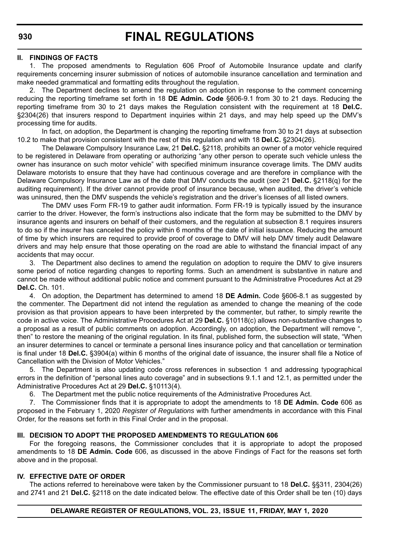#### **II. FINDINGS OF FACTS**

1. The proposed amendments to Regulation 606 Proof of Automobile Insurance update and clarify requirements concerning insurer submission of notices of automobile insurance cancellation and termination and make needed grammatical and formatting edits throughout the regulation.

2. The Department declines to amend the regulation on adoption in response to the comment concerning reducing the reporting timeframe set forth in 18 **DE Admin. Code** §606-9.1 from 30 to 21 days. Reducing the reporting timeframe from 30 to 21 days makes the Regulation consistent with the requirement at 18 **Del.C.** §2304(26) that insurers respond to Department inquiries within 21 days, and may help speed up the DMV's processing time for audits.

In fact, on adoption, the Department is changing the reporting timeframe from 30 to 21 days at subsection 10.2 to make that provision consistent with the rest of this regulation and with 18 **Del.C.** §2304(26).

The Delaware Compulsory Insurance Law, 21 **Del.C.** §2118, prohibits an owner of a motor vehicle required to be registered in Delaware from operating or authorizing "any other person to operate such vehicle unless the owner has insurance on such motor vehicle" with specified minimum insurance coverage limits. The DMV audits Delaware motorists to ensure that they have had continuous coverage and are therefore in compliance with the Delaware Compulsory Insurance Law as of the date that DMV conducts the audit (*see* 21 **Del.C.** §2118(q) for the auditing requirement). If the driver cannot provide proof of insurance because, when audited, the driver's vehicle was uninsured, then the DMV suspends the vehicle's registration and the driver's licenses of all listed owners.

The DMV uses Form FR-19 to gather audit information. Form FR-19 is typically issued by the insurance carrier to the driver. However, the form's instructions also indicate that the form may be submitted to the DMV by insurance agents and insurers on behalf of their customers, and the regulation at subsection 8.1 requires insurers to do so if the insurer has canceled the policy within 6 months of the date of initial issuance. Reducing the amount of time by which insurers are required to provide proof of coverage to DMV will help DMV timely audit Delaware drivers and may help ensure that those operating on the road are able to withstand the financial impact of any accidents that may occur.

3. The Department also declines to amend the regulation on adoption to require the DMV to give insurers some period of notice regarding changes to reporting forms. Such an amendment is substantive in nature and cannot be made without additional public notice and comment pursuant to the Administrative Procedures Act at 29 **Del.C.** Ch. 101.

4. On adoption, the Department has determined to amend 18 **DE Admin.** Code §606-8.1 as suggested by the commenter. The Department did not intend the regulation as amended to change the meaning of the code provision as that provision appears to have been interpreted by the commenter, but rather, to simply rewrite the code in active voice. The Administrative Procedures Act at 29 **Del.C.** §10118(c) allows non-substantive changes to a proposal as a result of public comments on adoption. Accordingly, on adoption, the Department will remove ", then" to restore the meaning of the original regulation. In its final, published form, the subsection will state, "When an insurer determines to cancel or terminate a personal lines insurance policy and that cancellation or termination is final under 18 **Del.C.** §3904(a) within 6 months of the original date of issuance, the insurer shall file a Notice of Cancellation with the Division of Motor Vehicles."

5. The Department is also updating code cross references in subsection 1 and addressing typographical errors in the definition of "personal lines auto coverage" and in subsections 9.1.1 and 12.1, as permitted under the Administrative Procedures Act at 29 **Del.C.** §10113(4).

6. The Department met the public notice requirements of the Administrative Procedures Act.

7. The Commissioner finds that it is appropriate to adopt the amendments to 18 **DE Admin. Code** 606 as proposed in the February 1, 2020 *Register of Regulations* with further amendments in accordance with this Final Order, for the reasons set forth in this Final Order and in the proposal.

#### **III. DECISION TO ADOPT THE PROPOSED AMENDMENTS TO REGULATION 606**

For the foregoing reasons, the Commissioner concludes that it is appropriate to adopt the proposed amendments to 18 **DE Admin. Code** 606, as discussed in the above Findings of Fact for the reasons set forth above and in the proposal.

#### **IV. EFFECTIVE DATE OF ORDER**

The actions referred to hereinabove were taken by the Commissioner pursuant to 18 **Del.C.** §§311, 2304(26) and 2741 and 21 **Del.C.** §2118 on the date indicated below. The effective date of this Order shall be ten (10) days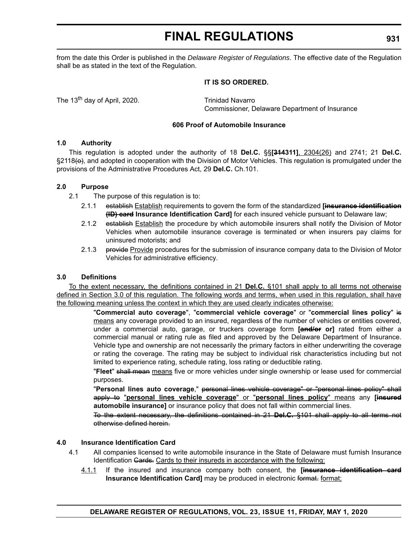from the date this Order is published in the *Delaware Register of Regulations*. The effective date of the Regulation shall be as stated in the text of the Regulation.

#### **IT IS SO ORDERED.**

The 13<sup>th</sup> day of April, 2020. Trinidad Navarro

Commissioner, Delaware Department of Insurance

#### **606 Proof of Automobile Insurance**

#### **1.0 Authority**

This regulation is adopted under the authority of 18 **Del.C.** §§**[314311]**, 2304(26) and 2741; 21 **Del.C.**  $\S2118\leftrightarrow$ , and adopted in cooperation with the Division of Motor Vehicles. This regulation is promulgated under the provisions of the Administrative Procedures Act, 29 **Del.C.** Ch.101.

#### **2.0 Purpose**

- 2.1 The purpose of this regulation is to:
	- 2.1.1 establish Establish requirements to govern the form of the standardized **[insurance identification (ID) card Insurance Identification Card]** for each insured vehicle pursuant to Delaware law;
	- 2.1.2 establish Establish the procedure by which automobile insurers shall notify the Division of Motor Vehicles when automobile insurance coverage is terminated or when insurers pay claims for uninsured motorists; and
	- 2.1.3 provide Provide procedures for the submission of insurance company data to the Division of Motor Vehicles for administrative efficiency.

#### **3.0 Definitions**

To the extent necessary, the definitions contained in 21 **Del.C.** §101 shall apply to all terms not otherwise defined in Section 3.0 of this regulation. The following words and terms, when used in this regulation, shall have the following meaning unless the context in which they are used clearly indicates otherwise:

> "**Commercial auto coverage**", "**commercial vehicle coverage**" or "**commercial lines policy**" is means any coverage provided to an insured, regardless of the number of vehicles or entities covered, under a commercial auto, garage, or truckers coverage form **[and/or or]** rated from either a commercial manual or rating rule as filed and approved by the Delaware Department of Insurance. Vehicle type and ownership are not necessarily the primary factors in either underwriting the coverage or rating the coverage. The rating may be subject to individual risk characteristics including but not limited to experience rating, schedule rating, loss rating or deductible rating.

> "**Fleet**" shall mean means five or more vehicles under single ownership or lease used for commercial purposes.

> "**Personal lines auto coverage**," personal lines vehicle coverage" or "personal lines policy" shall apply to "**personal lines vehicle coverage**" or "**personal lines policy**" means any **[insured automobile insurance]** or insurance policy that does not fall within commercial lines.

> To the extent necessary, the definitions contained in 21 **Del.C.** §101 shall apply to all terms not otherwise defined herein.

#### **4.0 Insurance Identification Card**

- 4.1 All companies licensed to write automobile insurance in the State of Delaware must furnish Insurance Identification Gards. Cards to their insureds in accordance with the following:
	- 4.1.1 If the insured and insurance company both consent, the **[insurance identification card Insurance Identification Card]** may be produced in electronic format. format: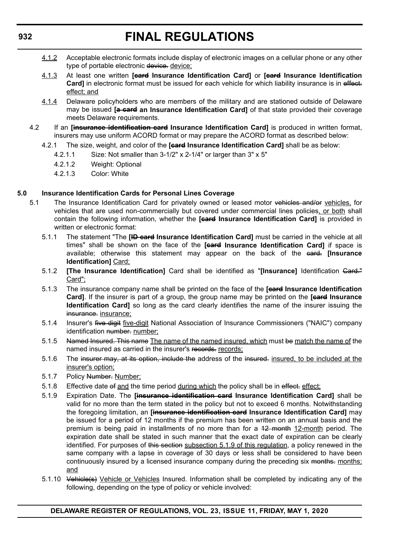- 4.1.2 Acceptable electronic formats include display of electronic images on a cellular phone or any other type of portable electronic device. device;
- 4.1.3 At least one written **[card Insurance Identification Card]** or **[card Insurance Identification** Card] in electronic format must be issued for each vehicle for which liability insurance is in effect. effect; and
- 4.1.4 Delaware policyholders who are members of the military and are stationed outside of Delaware may be issued **[a card an Insurance Identification Card]** of that state provided their coverage meets Delaware requirements.
- 4.2 If an **[insurance identification card Insurance Identification Card]** is produced in written format, insurers may use uniform ACORD format or may prepare the ACORD format as described below:
	- 4.2.1 The size, weight, and color of the **[card Insurance Identification Card]** shall be as below:
		- 4.2.1.1 Size: Not smaller than 3-1/2" x 2-1/4" or larger than 3" x 5"
			- 4.2.1.2 Weight: Optional
			- 4.2.1.3 Color: White

#### **5.0 Insurance Identification Cards for Personal Lines Coverage**

- 5.1 The Insurance Identification Card for privately owned or leased motor vehicles and/or vehicles, for vehicles that are used non-commercially but covered under commercial lines policies, or both shall contain the following information, whether the **[card Insurance Identification Card]** is provided in written or electronic format:
	- 5.1.1 The statement "The **[ID card Insurance Identification Card]** must be carried in the vehicle at all times" shall be shown on the face of the **[card Insurance Identification Card]** if space is available; otherwise this statement may appear on the back of the card. **[Insurance Identification]** Card;
	- 5.1.2 **[The Insurance Identification]** Card shall be identified as "**[Insurance]** Identification Card." Card";
	- 5.1.3 The insurance company name shall be printed on the face of the **[card Insurance Identification Card]**. If the insurer is part of a group, the group name may be printed on the **[card Insurance Identification Card]** so long as the card clearly identifies the name of the insurer issuing the insurance. insurance;
	- 5.1.4 Insurer's five digit five-digit National Association of Insurance Commissioners ("NAIC") company identification number. number;
	- 5.1.5 Named Insured. This name The name of the named insured, which must be match the name of the named insured as carried in the insurer's records- records;
	- 5.1.6 The insurer may, at its option, include the address of the insured. insured, to be included at the insurer's option;
	- 5.1.7 Policy Number: Number:
	- 5.1.8 Effective date of and the time period during which the policy shall be in effect: effect;
	- 5.1.9 Expiration Date. The **[insurance identification card Insurance Identification Card]** shall be valid for no more than the term stated in the policy but not to exceed 6 months. Notwithstanding the foregoing limitation, an **[insurance identification card Insurance Identification Card]** may be issued for a period of 12 months if the premium has been written on an annual basis and the premium is being paid in installments of no more than for a 42 month 12-month period. The expiration date shall be stated in such manner that the exact date of expiration can be clearly identified. For purposes of this section subsection 5.1.9 of this regulation, a policy renewed in the same company with a lapse in coverage of 30 days or less shall be considered to have been continuously insured by a licensed insurance company during the preceding six months: months; and
	- 5.1.10 Vehicle(s) Vehicle or Vehicles Insured. Information shall be completed by indicating any of the following, depending on the type of policy or vehicle involved:

#### **DELAWARE REGISTER OF REGULATIONS, VOL. 23, ISSUE 11, FRIDAY, MAY 1, 2020**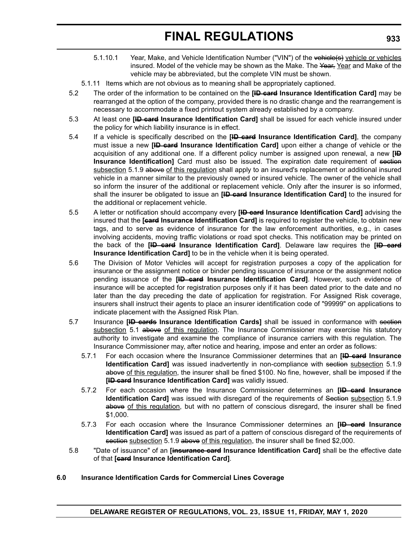- 5.1.10.1 Year, Make, and Vehicle Identification Number ("VIN") of the vehicle(s) vehicle or vehicles insured. Model of the vehicle may be shown as the Make. The Year, Year and Make of the vehicle may be abbreviated, but the complete VIN must be shown.
- 5.1.11 Items which are not obvious as to meaning shall be appropriately captioned.
- 5.2 The order of the information to be contained on the **[ID card Insurance Identification Card]** may be rearranged at the option of the company, provided there is no drastic change and the rearrangement is necessary to accommodate a fixed printout system already established by a company.
- 5.3 At least one **[ID card Insurance Identification Card]** shall be issued for each vehicle insured under the policy for which liability insurance is in effect.
- 5.4 If a vehicle is specifically described on the **[ID card Insurance Identification Card]**, the company must issue a new **[ID card Insurance Identification Card]** upon either a change of vehicle or the acquisition of any additional one. If a different policy number is assigned upon renewal, a new **[ID Insurance Identification]** Card must also be issued. The expiration date requirement of section subsection 5.1.9 above of this regulation shall apply to an insured's replacement or additional insured vehicle in a manner similar to the previously owned or insured vehicle. The owner of the vehicle shall so inform the insurer of the additional or replacement vehicle. Only after the insurer is so informed, shall the insurer be obligated to issue an **[ID card Insurance Identification Card]** to the insured for the additional or replacement vehicle.
- 5.5 A letter or notification should accompany every **[ID card Insurance Identification Card]** advising the insured that the **[card Insurance Identification Card]** is required to register the vehicle, to obtain new tags, and to serve as evidence of insurance for the law enforcement authorities, e.g., in cases involving accidents, moving traffic violations or road spot checks. This notification may be printed on the back of the **[ID card Insurance Identification Card]**. Delaware law requires the **[ID card Insurance Identification Card]** to be in the vehicle when it is being operated.
- 5.6 The Division of Motor Vehicles will accept for registration purposes a copy of the application for insurance or the assignment notice or binder pending issuance of insurance or the assignment notice pending issuance of the **[ID card Insurance Identification Card]**. However, such evidence of insurance will be accepted for registration purposes only if it has been dated prior to the date and no later than the day preceding the date of application for registration. For Assigned Risk coverage, insurers shall instruct their agents to place an insurer identification code of "99999" on applications to indicate placement with the Assigned Risk Plan.
- 5.7 Insurance **[ID cards Insurance Identification Cards]** shall be issued in conformance with section subsection 5.1 above of this regulation. The Insurance Commissioner may exercise his statutory authority to investigate and examine the compliance of insurance carriers with this regulation. The Insurance Commissioner may, after notice and hearing, impose and enter an order as follows:
	- 5.7.1 For each occasion where the Insurance Commissioner determines that an **[ID card Insurance Identification Card]** was issued inadvertently in non-compliance with section subsection 5.1.9 above of this regulation, the insurer shall be fined \$100. No fine, however, shall be imposed if the **[ID card Insurance Identification Card]** was validly issued.
	- 5.7.2 For each occasion where the Insurance Commissioner determines an **[ID card Insurance Identification Card]** was issued with disregard of the requirements of Section subsection 5.1.9 above of this regulation, but with no pattern of conscious disregard, the insurer shall be fined \$1,000.
	- 5.7.3 For each occasion where the Insurance Commissioner determines an **[ID card Insurance Identification Card]** was issued as part of a pattern of conscious disregard of the requirements of section subsection 5.1.9 above of this regulation, the insurer shall be fined \$2,000.
- 5.8 "Date of issuance" of an **[insurance card Insurance Identification Card]** shall be the effective date of that **[card Insurance Identification Card]**.
- **6.0 Insurance Identification Cards for Commercial Lines Coverage**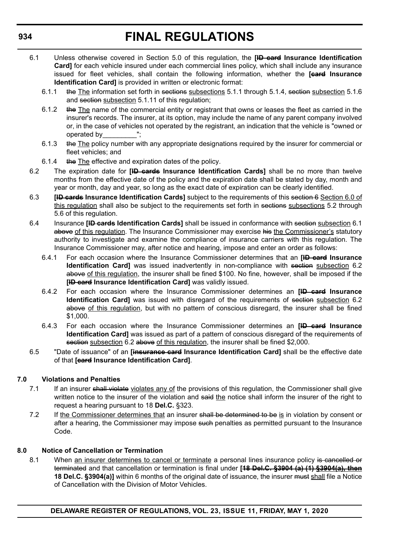- 6.1 Unless otherwise covered in Section 5.0 of this regulation, the **[ID card Insurance Identification Card]** for each vehicle insured under each commercial lines policy, which shall include any insurance issued for fleet vehicles, shall contain the following information, whether the **[card Insurance Identification Card]** is provided in written or electronic format:
	- 6.1.1 the The information set forth in sections subsections 5.1.1 through 5.1.4, section subsection 5.1.6 and section subsection 5.1.11 of this regulation;
	- 6.1.2 the The name of the commercial entity or registrant that owns or leases the fleet as carried in the insurer's records. The insurer, at its option, may include the name of any parent company involved or, in the case of vehicles not operated by the registrant, an indication that the vehicle is "owned or operated by\_\_\_\_\_\_\_\_\_";
	- 6.1.3 the The policy number with any appropriate designations required by the insurer for commercial or fleet vehicles; and
	- 6.1.4 the The effective and expiration dates of the policy.
- 6.2 The expiration date for **[ID cards Insurance Identification Cards]** shall be no more than twelve months from the effective date of the policy and the expiration date shall be stated by day, month and year or month, day and year, so long as the exact date of expiration can be clearly identified.
- 6.3 **[ID cards Insurance Identification Cards]** subject to the requirements of this section 6 Section 6.0 of this regulation shall also be subject to the requirements set forth in sections subsections 5.2 through 5.6 of this regulation.
- 6.4 Insurance **[ID cards Identification Cards]** shall be issued in conformance with section subsection 6.1 above of this regulation. The Insurance Commissioner may exercise his the Commissioner's statutory authority to investigate and examine the compliance of insurance carriers with this regulation. The Insurance Commissioner may, after notice and hearing, impose and enter an order as follows:
	- 6.4.1 For each occasion where the Insurance Commissioner determines that an **[ID card Insurance Identification Card]** was issued inadvertently in non-compliance with section subsection 6.2 above of this regulation, the insurer shall be fined \$100. No fine, however, shall be imposed if the **[ID card Insurance Identification Card]** was validly issued.
	- 6.4.2 For each occasion where the Insurance Commissioner determines an **[ID card Insurance Identification Card]** was issued with disregard of the requirements of section subsection 6.2 above of this regulation, but with no pattern of conscious disregard, the insurer shall be fined \$1,000.
	- 6.4.3 For each occasion where the Insurance Commissioner determines an **[ID card Insurance Identification Card]** was issued as part of a pattern of conscious disregard of the requirements of section subsection 6.2 above of this regulation, the insurer shall be fined \$2,000.
- 6.5 "Date of issuance" of an **[insurance card Insurance Identification Card]** shall be the effective date of that **[card Insurance Identification Card]**.

#### **7.0 Violations and Penalties**

- 7.1 If an insurer shall violate violates any of the provisions of this regulation, the Commissioner shall give written notice to the insurer of the violation and said the notice shall inform the insurer of the right to request a hearing pursuant to 18 **Del.C.** §323.
- 7.2 If the Commissioner determines that an insurer shall be determined to be is in violation by consent or after a hearing, the Commissioner may impose such penalties as permitted pursuant to the Insurance Code.

#### **8.0 Notice of Cancellation or Termination**

8.1 When an insurer determines to cancel or terminate a personal lines insurance policy is cancelled or terminated and that cancellation or termination is final under **[18 Del.C. §3904 (a) (1) §3904(a), then 18 Del.C. §3904(a)]** within 6 months of the original date of issuance, the insurer must shall file a Notice of Cancellation with the Division of Motor Vehicles.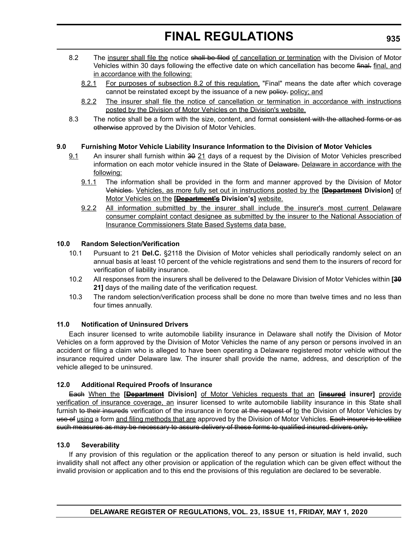- 8.2 The insurer shall file the notice shall be filed of cancellation or termination with the Division of Motor Vehicles within 30 days following the effective date on which cancellation has become final, final, and in accordance with the following:
	- 8.2.1 For purposes of subsection 8.2 of this regulation, "Final" means the date after which coverage cannot be reinstated except by the issuance of a new policy. policy; and
	- 8.2.2 The insurer shall file the notice of cancellation or termination in accordance with instructions posted by the Division of Motor Vehicles on the Division's website.
- 8.3 The notice shall be a form with the size, content, and format consistent with the attached forms or as otherwise approved by the Division of Motor Vehicles.

#### **9.0 Furnishing Motor Vehicle Liability Insurance Information to the Division of Motor Vehicles**

- 9.1 An insurer shall furnish within 30 21 days of a request by the Division of Motor Vehicles prescribed information on each motor vehicle insured in the State of Delaware. Delaware in accordance with the following:
	- 9.1.1 The information shall be provided in the form and manner approved by the Division of Motor Vehicles. Vehicles, as more fully set out in instructions posted by the **[Department Division]** of Motor Vehicles on the **[Department's Division's]** website.
	- 9.2.2 All information submitted by the insurer shall include the insurer's most current Delaware consumer complaint contact designee as submitted by the insurer to the National Association of Insurance Commissioners State Based Systems data base.

#### **10.0 Random Selection/Verification**

- 10.1 Pursuant to 21 **Del.C.** §2118 the Division of Motor vehicles shall periodically randomly select on an annual basis at least 10 percent of the vehicle registrations and send them to the insurers of record for verification of liability insurance.
- 10.2 All responses from the insurers shall be delivered to the Delaware Division of Motor Vehicles within **[30 21]** days of the mailing date of the verification request.
- 10.3 The random selection/verification process shall be done no more than twelve times and no less than four times annually.

#### **11.0 Notification of Uninsured Drivers**

Each insurer licensed to write automobile liability insurance in Delaware shall notify the Division of Motor Vehicles on a form approved by the Division of Motor Vehicles the name of any person or persons involved in an accident or filing a claim who is alleged to have been operating a Delaware registered motor vehicle without the insurance required under Delaware law. The insurer shall provide the name, address, and description of the vehicle alleged to be uninsured.

#### **12.0 Additional Required Proofs of Insurance**

Each When the **[Department Division]** of Motor Vehicles requests that an **[insured insurer]** provide verification of insurance coverage, an insurer licensed to write automobile liability insurance in this State shall furnish to their insureds verification of the insurance in force at the request of to the Division of Motor Vehicles by use of using a form and filing methods that are approved by the Division of Motor Vehicles. Each insurer is to utilize such measures as may be necessary to assure delivery of these forms to qualified insured drivers only.

#### **13.0 Severability**

If any provision of this regulation or the application thereof to any person or situation is held invalid, such invalidity shall not affect any other provision or application of the regulation which can be given effect without the invalid provision or application and to this end the provisions of this regulation are declared to be severable.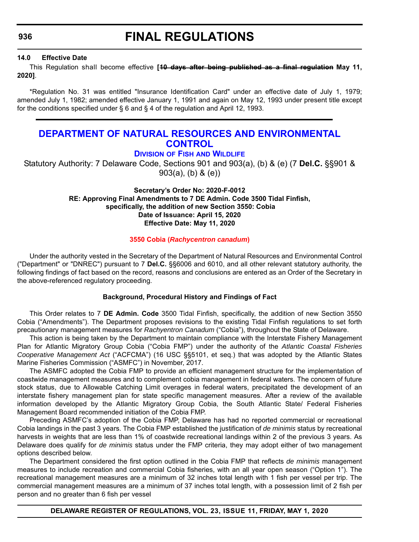<span id="page-38-0"></span>**936**

### **FINAL REGULATIONS**

#### **14.0 Effective Date**

This Regulation shall become effective **[10 days after being published as a final regulation May 11, 2020]**.

\*Regulation No. 31 was entitled "Insurance Identification Card" under an effective date of July 1, 1979; amended July 1, 1982; amended effective January 1, 1991 and again on May 12, 1993 under present title except for the conditions specified under  $\S 6$  and  $\S 4$  of the regulation and April 12, 1993.

### **[DEPARTMENT OF NATURAL RESOURCES AND ENVIRONMENTAL](https://dnrec.alpha.delaware.gov/)  CONTROL**

**DIVISION OF FISH [AND WILDLIFE](https://dnrec.alpha.delaware.gov/fish-wildlife/)**

Statutory Authority: 7 Delaware Code, Sections 901 and 903(a), (b) & (e) (7 **Del.C.** §§901 & 903(a), (b) & (e))

#### **Secretary's Order No: 2020-F-0012 RE: Approving Final Amendments to 7 DE Admin. Code 3500 Tidal Finfish, specifically, the addition of new Section 3550: Cobia Date of Issuance: April 15, 2020 Effective Date: May 11, 2020**

#### **3550 Cobia (***[Rachycentron canadum](#page-3-0)***)**

Under the authority vested in the Secretary of the Department of Natural Resources and Environmental Control ("Department" or "DNREC") pursuant to 7 **Del.C.** §§6006 and 6010, and all other relevant statutory authority, the following findings of fact based on the record, reasons and conclusions are entered as an Order of the Secretary in the above-referenced regulatory proceeding.

#### **Background, Procedural History and Findings of Fact**

This Order relates to 7 **DE Admin. Code** 3500 Tidal Finfish, specifically, the addition of new Section 3550 Cobia ("Amendments"). The Department proposes revisions to the existing Tidal Finfish regulations to set forth precautionary management measures for *Rachyentron Canadum* ("Cobia"), throughout the State of Delaware.

This action is being taken by the Department to maintain compliance with the Interstate Fishery Management Plan for Atlantic Migratory Group Cobia ("Cobia FMP") under the authority of the *Atlantic Coastal Fisheries Cooperative Management Act* ("ACFCMA") (16 USC §§5101, et seq.) that was adopted by the Atlantic States Marine Fisheries Commission ("ASMFC") in November, 2017.

The ASMFC adopted the Cobia FMP to provide an efficient management structure for the implementation of coastwide management measures and to complement cobia management in federal waters. The concern of future stock status, due to Allowable Catching Limit overages in federal waters, precipitated the development of an interstate fishery management plan for state specific management measures. After a review of the available information developed by the Atlantic Migratory Group Cobia, the South Atlantic State/ Federal Fisheries Management Board recommended initiation of the Cobia FMP.

Preceding ASMFC's adoption of the Cobia FMP, Delaware has had no reported commercial or recreational Cobia landings in the past 3 years. The Cobia FMP established the justification of *de minimis* status by recreational harvests in weights that are less than 1% of coastwide recreational landings within 2 of the previous 3 years. As Delaware does qualify for *de minimis* status under the FMP criteria, they may adopt either of two management options described below.

The Department considered the first option outlined in the Cobia FMP that reflects *de minimis* management measures to include recreation and commercial Cobia fisheries, with an all year open season ("Option 1"). The recreational management measures are a minimum of 32 inches total length with 1 fish per vessel per trip. The commercial management measures are a minimum of 37 inches total length, with a possession limit of 2 fish per person and no greater than 6 fish per vessel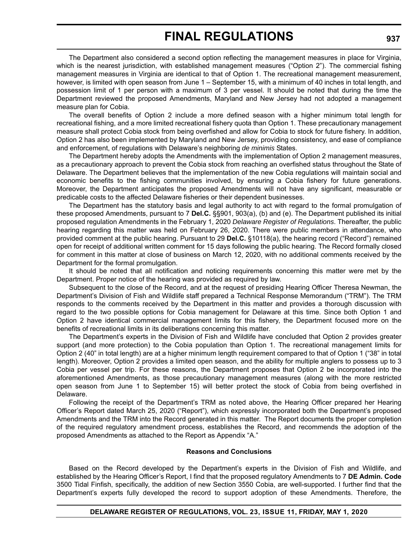The Department also considered a second option reflecting the management measures in place for Virginia, which is the nearest jurisdiction, with established management measures ("Option 2"). The commercial fishing management measures in Virginia are identical to that of Option 1. The recreational management measurement, however, is limited with open season from June 1 – September 15, with a minimum of 40 inches in total length, and possession limit of 1 per person with a maximum of 3 per vessel. It should be noted that during the time the Department reviewed the proposed Amendments, Maryland and New Jersey had not adopted a management measure plan for Cobia.

The overall benefits of Option 2 include a more defined season with a higher minimum total length for recreational fishing, and a more limited recreational fishery quota than Option 1. These precautionary management measure shall protect Cobia stock from being overfished and allow for Cobia to stock for future fishery. In addition, Option 2 has also been implemented by Maryland and New Jersey, providing consistency, and ease of compliance and enforcement, of regulations with Delaware's neighboring *de minimis* States.

The Department hereby adopts the Amendments with the implementation of Option 2 management measures, as a precautionary approach to prevent the Cobia stock from reaching an overfished status throughout the State of Delaware. The Department believes that the implementation of the new Cobia regulations will maintain social and economic benefits to the fishing communities involved, by ensuring a Cobia fishery for future generations. Moreover, the Department anticipates the proposed Amendments will not have any significant, measurable or predicable costs to the affected Delaware fisheries or their dependent businesses.

The Department has the statutory basis and legal authority to act with regard to the formal promulgation of these proposed Amendments, pursuant to 7 **Del.C.** §§901, 903(a), (b) and (e). The Department published its initial proposed regulation Amendments in the February 1, 2020 *Delaware Register of Regulations*. Thereafter, the public hearing regarding this matter was held on February 26, 2020. There were public members in attendance, who provided comment at the public hearing. Pursuant to 29 **Del.C.** §10118(a), the hearing record ("Record") remained open for receipt of additional written comment for 15 days following the public hearing. The Record formally closed for comment in this matter at close of business on March 12, 2020, with no additional comments received by the Department for the formal promulgation.

It should be noted that all notification and noticing requirements concerning this matter were met by the Department. Proper notice of the hearing was provided as required by law.

Subsequent to the close of the Record, and at the request of presiding Hearing Officer Theresa Newman, the Department's Division of Fish and Wildlife staff prepared a Technical Response Memorandum ("TRM"). The TRM responds to the comments received by the Department in this matter and provides a thorough discussion with regard to the two possible options for Cobia management for Delaware at this time. Since both Option 1 and Option 2 have identical commercial management limits for this fishery, the Department focused more on the benefits of recreational limits in its deliberations concerning this matter.

The Department's experts in the Division of Fish and Wildlife have concluded that Option 2 provides greater support (and more protection) to the Cobia population than Option 1. The recreational management limits for Option 2 (40" in total length) are at a higher minimum length requirement compared to that of Option 1 ("38" in total length). Moreover, Option 2 provides a limited open season, and the ability for multiple anglers to possess up to 3 Cobia per vessel per trip. For these reasons, the Department proposes that Option 2 be incorporated into the aforementioned Amendments, as those precautionary management measures (along with the more restricted open season from June 1 to September 15) will better protect the stock of Cobia from being overfished in Delaware.

Following the receipt of the Department's TRM as noted above, the Hearing Officer prepared her Hearing Officer's Report dated March 25, 2020 ("Report"), which expressly incorporated both the Department's proposed Amendments and the TRM into the Record generated in this matter. The Report documents the proper completion of the required regulatory amendment process, establishes the Record, and recommends the adoption of the proposed Amendments as attached to the Report as Appendix "A."

#### **Reasons and Conclusions**

Based on the Record developed by the Department's experts in the Division of Fish and Wildlife, and established by the Hearing Officer's Report, I find that the proposed regulatory Amendments to 7 **DE Admin. Code** 3500 Tidal Finfish, specifically, the addition of new Section 3550 Cobia, are well-supported. I further find that the Department's experts fully developed the record to support adoption of these Amendments. Therefore, the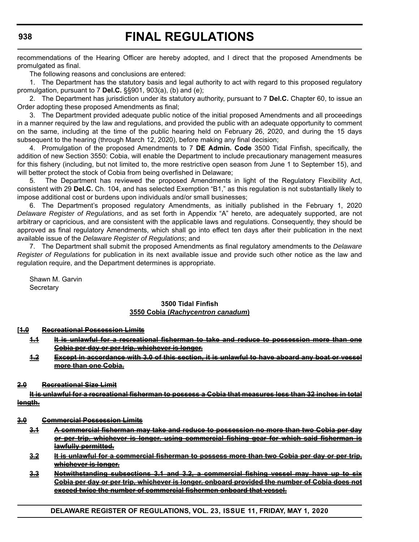recommendations of the Hearing Officer are hereby adopted, and I direct that the proposed Amendments be promulgated as final.

The following reasons and conclusions are entered:

1. The Department has the statutory basis and legal authority to act with regard to this proposed regulatory promulgation, pursuant to 7 **Del.C.** §§901, 903(a), (b) and (e);

2. The Department has jurisdiction under its statutory authority, pursuant to 7 **Del.C.** Chapter 60, to issue an Order adopting these proposed Amendments as final;

3. The Department provided adequate public notice of the initial proposed Amendments and all proceedings in a manner required by the law and regulations, and provided the public with an adequate opportunity to comment on the same, including at the time of the public hearing held on February 26, 2020, and during the 15 days subsequent to the hearing (through March 12, 2020), before making any final decision;

4. Promulgation of the proposed Amendments to 7 **DE Admin. Code** 3500 Tidal Finfish, specifically, the addition of new Section 3550: Cobia, will enable the Department to include precautionary management measures for this fishery (including, but not limited to, the more restrictive open season from June 1 to September 15), and will better protect the stock of Cobia from being overfished in Delaware;

5. The Department has reviewed the proposed Amendments in light of the Regulatory Flexibility Act, consistent with 29 **Del.C.** Ch. 104, and has selected Exemption "B1," as this regulation is not substantially likely to impose additional cost or burdens upon individuals and/or small businesses;

6. The Department's proposed regulatory Amendments, as initially published in the February 1, 2020 *Delaware Register of Regulations*, and as set forth in Appendix "A" hereto, are adequately supported, are not arbitrary or capricious, and are consistent with the applicable laws and regulations. Consequently, they should be approved as final regulatory Amendments, which shall go into effect ten days after their publication in the next available issue of the *Delaware Register of Regulations*; and

7. The Department shall submit the proposed Amendments as final regulatory amendments to the *Delaware Register of Regulations* for publication in its next available issue and provide such other notice as the law and regulation require, and the Department determines is appropriate.

Shawn M. Garvin **Secretary** 

#### **3500 Tidal Finfish 3550 Cobia (***Rachycentron canadum***)**

#### **[1.0 Recreational Possession Limits**

**1.1 It is unlawful for a recreational fisherman to take and reduce to possession more than Cobia per day or per trip, whichever is longer.**

**1.2 Except in accordance with 3.0 of this section, it is unlawful to have aboard any boat or vessel more than one Cobia.**

#### **2.0 Recreational Size Limit**

**It is unlawful for a recreational fisherman to possess a Cobia that measures less than 32 inches in total length.**

#### **3.0 Commercial Possession Limits**

- **3.1 A commercial fisherman may take and reduce to possession no more than two Cobia per day or per trip, whichever is longer, using commercial fishing gear for which said fisherman is lawfully permitted.**
- **3.2 It is unlawful for a commercial fisherman to possess more than two Cobia per day or per trip, whichever is longer.**
- **3.3 Notwithstanding subsections 3.1 and 3.2, a commercial fishing vessel may have up to six Cobia per day or per trip, whichever is longer, onboard provided the number of Cobia does not exceed twice the number of commercial fishermen onboard that vessel.**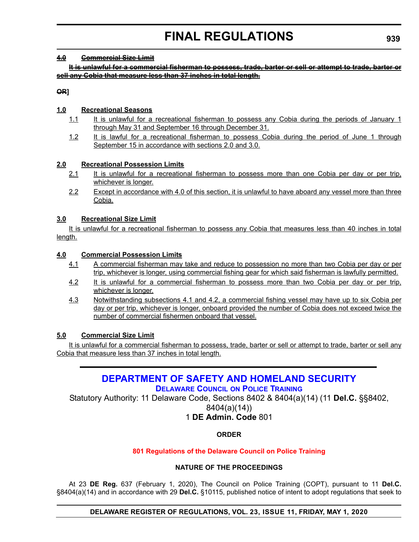#### <span id="page-41-0"></span>**4.0 Commercial Size Limit**

**It is unlawful for a commercial fisherman to possess, trade, barter or sell or attempt to trade, barter or sell any Cobia that measure less than 37 inches in total length.**

**OR]**

#### **1.0 Recreational Seasons**

- 1.1 It is unlawful for a recreational fisherman to possess any Cobia during the periods of January 1 through May 31 and September 16 through December 31.
- 1.2 It is lawful for a recreational fisherman to possess Cobia during the period of June 1 through September 15 in accordance with sections 2.0 and 3.0.

#### **2.0 Recreational Possession Limits**

- 2.1 It is unlawful for a recreational fisherman to possess more than one Cobia per day or per trip, whichever is longer.
- 2.2 Except in accordance with 4.0 of this section, it is unlawful to have aboard any vessel more than three Cobia.

#### **3.0 Recreational Size Limit**

It is unlawful for a recreational fisherman to possess any Cobia that measures less than 40 inches in total length.

#### **4.0 Commercial Possession Limits**

- 4.1 A commercial fisherman may take and reduce to possession no more than two Cobia per day or per trip, whichever is longer, using commercial fishing gear for which said fisherman is lawfully permitted.
- 4.2 It is unlawful for a commercial fisherman to possess more than two Cobia per day or per trip, whichever is longer.
- 4.3 Notwithstanding subsections 4.1 and 4.2, a commercial fishing vessel may have up to six Cobia per day or per trip, whichever is longer, onboard provided the number of Cobia does not exceed twice the number of commercial fishermen onboard that vessel.

#### **5.0 Commercial Size Limit**

It is unlawful for a commercial fisherman to possess, trade, barter or sell or attempt to trade, barter or sell any Cobia that measure less than 37 inches in total length.

### **[DEPARTMENT OF SAFETY AND HOMELAND SECURITY](https://dshs.delaware.gov/)**

#### **[DELAWARE COUNCIL](https://dshs.delaware.gov/) ON POLICE TRAINING**

Statutory Authority: 11 Delaware Code, Sections 8402 & 8404(a)(14) (11 **Del.C.** §§8402,

8404(a)(14))

#### 1 **DE Admin. Code** 801

#### **ORDER**

#### **[801 Regulations of the Delaware Council on Police Training](#page-3-0)**

#### **NATURE OF THE PROCEEDINGS**

At 23 **DE Reg.** 637 (February 1, 2020), The Council on Police Training (COPT), pursuant to 11 **Del.C.** §8404(a)(14) and in accordance with 29 **Del.C.** §10115, published notice of intent to adopt regulations that seek to

#### **DELAWARE REGISTER OF REGULATIONS, VOL. 23, ISSUE 11, FRIDAY, MAY 1, 2020**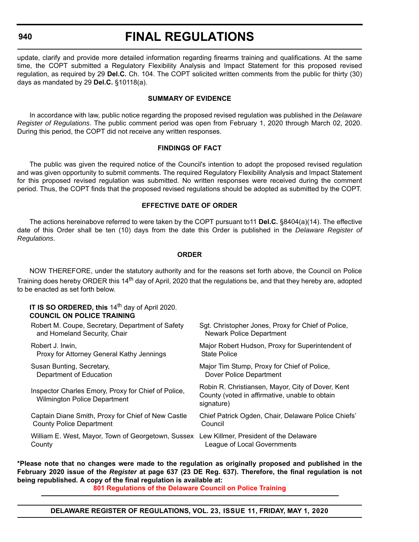**940**

# **FINAL REGULATIONS**

update, clarify and provide more detailed information regarding firearms training and qualifications. At the same time, the COPT submitted a Regulatory Flexibility Analysis and Impact Statement for this proposed revised regulation, as required by 29 **Del.C.** Ch. 104. The COPT solicited written comments from the public for thirty (30) days as mandated by 29 **Del.C.** §10118(a).

#### **SUMMARY OF EVIDENCE**

In accordance with law, public notice regarding the proposed revised regulation was published in the *Delaware Register of Regulations*. The public comment period was open from February 1, 2020 through March 02, 2020. During this period, the COPT did not receive any written responses.

#### **FINDINGS OF FACT**

The public was given the required notice of the Council's intention to adopt the proposed revised regulation and was given opportunity to submit comments. The required Regulatory Flexibility Analysis and Impact Statement for this proposed revised regulation was submitted. No written responses were received during the comment period. Thus, the COPT finds that the proposed revised regulations should be adopted as submitted by the COPT.

#### **EFFECTIVE DATE OF ORDER**

The actions hereinabove referred to were taken by the COPT pursuant to11 **Del.C.** §8404(a)(14). The effective date of this Order shall be ten (10) days from the date this Order is published in the *Delaware Register of Regulations*.

#### **ORDER**

NOW THEREFORE, under the statutory authority and for the reasons set forth above, the Council on Police Training does hereby ORDER this 14<sup>th</sup> day of April, 2020 that the regulations be, and that they hereby are, adopted to be enacted as set forth below.

#### **IT IS SO ORDERED, this 14<sup>th</sup> day of April 2020. COUNCIL ON POLICE TRAINING**

| Robert M. Coupe, Secretary, Department of Safety                                           | Sgt. Christopher Jones, Proxy for Chief of Police,                                                                |
|--------------------------------------------------------------------------------------------|-------------------------------------------------------------------------------------------------------------------|
| and Homeland Security, Chair                                                               | Newark Police Department                                                                                          |
| Robert J. Irwin,                                                                           | Major Robert Hudson, Proxy for Superintendent of                                                                  |
| Proxy for Attorney General Kathy Jennings                                                  | <b>State Police</b>                                                                                               |
| Susan Bunting, Secretary,                                                                  | Major Tim Stump, Proxy for Chief of Police,                                                                       |
| Department of Education                                                                    | Dover Police Department                                                                                           |
| Inspector Charles Emory, Proxy for Chief of Police,<br><b>Wilmington Police Department</b> | Robin R. Christiansen, Mayor, City of Dover, Kent<br>County (voted in affirmative, unable to obtain<br>signature) |
| Captain Diane Smith, Proxy for Chief of New Castle                                         | Chief Patrick Ogden, Chair, Delaware Police Chiefs'                                                               |
| <b>County Police Department</b>                                                            | Council                                                                                                           |
| William E. West, Mayor, Town of Georgetown, Sussex                                         | Lew Killmer, President of the Delaware                                                                            |
| County                                                                                     | League of Local Governments                                                                                       |

**\*Please note that no changes were made to the regulation as originally proposed and published in the February 2020 issue of the** *Register* **at page 637 (23 DE Reg. 637). Therefore, the final regulation is not being republished. A copy of the final regulation is available at:**

**[801 Regulations of the Delaware Council on Police Training](http://regulations.delaware.gov/register/may2020/final/23 DE Reg 939 05-01-20.htm)**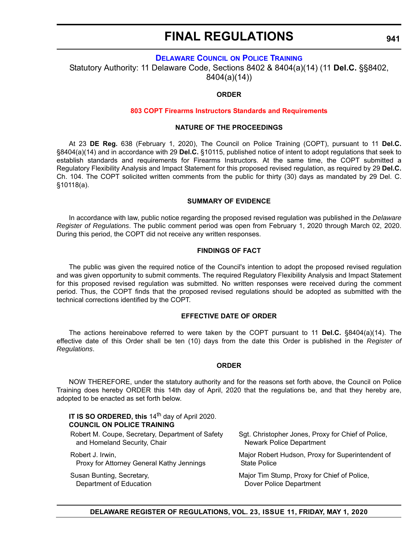#### **[DELAWARE COUNCIL](https://dshs.delaware.gov/) ON POLICE TRAINING**

<span id="page-43-0"></span>Statutory Authority: 11 Delaware Code, Sections 8402 & 8404(a)(14) (11 **Del.C.** §§8402, 8404(a)(14))

#### **ORDER**

#### **[803 COPT Firearms Instructors Standards and Requirements](#page-3-0)**

#### **NATURE OF THE PROCEEDINGS**

At 23 **DE Reg.** 638 (February 1, 2020), The Council on Police Training (COPT), pursuant to 11 **Del.C.** §8404(a)(14) and in accordance with 29 **Del.C.** §10115, published notice of intent to adopt regulations that seek to establish standards and requirements for Firearms Instructors. At the same time, the COPT submitted a Regulatory Flexibility Analysis and Impact Statement for this proposed revised regulation, as required by 29 **Del.C.** Ch. 104. The COPT solicited written comments from the public for thirty (30) days as mandated by 29 Del. C. §10118(a).

#### **SUMMARY OF EVIDENCE**

In accordance with law, public notice regarding the proposed revised regulation was published in the *Delaware Register of Regulations*. The public comment period was open from February 1, 2020 through March 02, 2020. During this period, the COPT did not receive any written responses.

#### **FINDINGS OF FACT**

The public was given the required notice of the Council's intention to adopt the proposed revised regulation and was given opportunity to submit comments. The required Regulatory Flexibility Analysis and Impact Statement for this proposed revised regulation was submitted. No written responses were received during the comment period. Thus, the COPT finds that the proposed revised regulations should be adopted as submitted with the technical corrections identified by the COPT.

#### **EFFECTIVE DATE OF ORDER**

The actions hereinabove referred to were taken by the COPT pursuant to 11 **Del.C.** §8404(a)(14). The effective date of this Order shall be ten (10) days from the date this Order is published in the *Register of Regulations*.

#### **ORDER**

NOW THEREFORE, under the statutory authority and for the reasons set forth above, the Council on Police Training does hereby ORDER this 14th day of April, 2020 that the regulations be, and that they hereby are, adopted to be enacted as set forth below.

**IT IS SO ORDERED, this 14<sup>th</sup> day of April 2020. COUNCIL ON POLICE TRAINING**

Robert M. Coupe, Secretary, Department of Safety and Homeland Security, Chair

Robert J. Irwin, Proxy for Attorney General Kathy Jennings

Susan Bunting, Secretary, Department of Education Sgt. Christopher Jones, Proxy for Chief of Police, Newark Police Department

Major Robert Hudson, Proxy for Superintendent of State Police

Major Tim Stump, Proxy for Chief of Police, Dover Police Department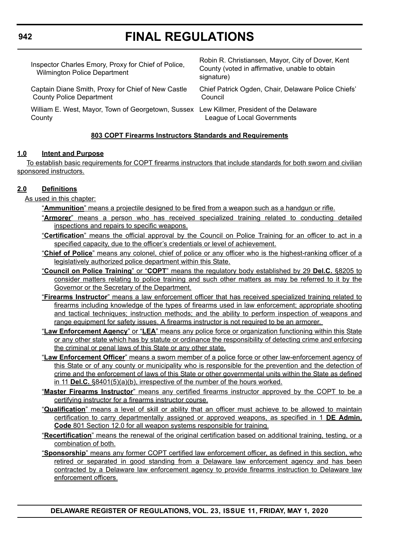| Inspector Charles Emory, Proxy for Chief of Police,<br><b>Wilmington Police Department</b>          | Robin R. Christiansen, Mayor, City of Dover, Kent<br>County (voted in affirmative, unable to obtain<br>signature) |
|-----------------------------------------------------------------------------------------------------|-------------------------------------------------------------------------------------------------------------------|
| Captain Diane Smith, Proxy for Chief of New Castle<br><b>County Police Department</b>               | Chief Patrick Ogden, Chair, Delaware Police Chiefs'<br>Council                                                    |
| William E. West, Mayor, Town of Georgetown, Sussex Lew Killmer, President of the Delaware<br>County | League of Local Governments                                                                                       |

#### **803 COPT Firearms Instructors Standards and Requirements**

#### **1.0 Intent and Purpose**

 To establish basic requirements for COPT firearms instructors that include standards for both sworn and civilian sponsored instructors.

#### **2.0 Definitions**

As used in this chapter:

"**Ammunition**" means a projectile designed to be fired from a weapon such as a handgun or rifle.

- "**Armorer**" means a person who has received specialized training related to conducting detailed inspections and repairs to specific weapons.
- "**Certification**" means the official approval by the Council on Police Training for an officer to act in a specified capacity, due to the officer's credentials or level of achievement.
- "**Chief of Police**" means any colonel, chief of police or any officer who is the highest-ranking officer of a legislatively authorized police department within this State.
- "**Council on Police Training**" or "**COPT**" means the regulatory body established by 29 **Del.C.** §8205 to consider matters relating to police training and such other matters as may be referred to it by the Governor or the Secretary of the Department.
- "**Firearms Instructor**" means a law enforcement officer that has received specialized training related to firearms including knowledge of the types of firearms used in law enforcement; appropriate shooting and tactical techniques; instruction methods; and the ability to perform inspection of weapons and range equipment for safety issues. A firearms instructor is not required to be an armorer.
- "**Law Enforcement Agency**" or "**LEA**" means any police force or organization functioning within this State or any other state which has by statute or ordinance the responsibility of detecting crime and enforcing the criminal or penal laws of this State or any other state.
- "**Law Enforcement Officer**" means a sworn member of a police force or other law-enforcement agency of this State or of any county or municipality who is responsible for the prevention and the detection of crime and the enforcement of laws of this State or other governmental units within the State as defined in 11 **Del.C.** §8401(5)(a)(b), irrespective of the number of the hours worked.
- "**Master Firearms Instructor**" means any certified firearms instructor approved by the COPT to be a certifying instructor for a firearms instructor course.
- "**Qualification**" means a level of skill or ability that an officer must achieve to be allowed to maintain certification to carry departmentally assigned or approved weapons, as specified in 1 **DE Admin. Code** 801 Section 12.0 for all weapon systems responsible for training.
- "**Recertification**" means the renewal of the original certification based on additional training, testing, or a combination of both.
- "**Sponsorship**" means any former COPT certified law enforcement officer, as defined in this section, who retired or separated in good standing from a Delaware law enforcement agency and has been contracted by a Delaware law enforcement agency to provide firearms instruction to Delaware law enforcement officers.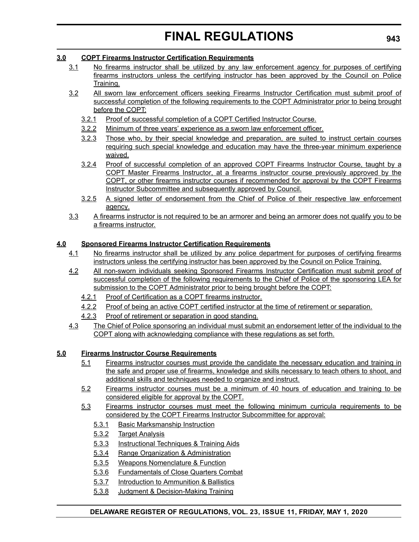#### **3.0 COPT Firearms Instructor Certification Requirements**

- 3.1 No firearms instructor shall be utilized by any law enforcement agency for purposes of certifying firearms instructors unless the certifying instructor has been approved by the Council on Police Training.
- 3.2 All sworn law enforcement officers seeking Firearms Instructor Certification must submit proof of successful completion of the following requirements to the COPT Administrator prior to being brought before the COPT:
	- 3.2.1 Proof of successful completion of a COPT Certified Instructor Course.
	- 3.2.2 Minimum of three years' experience as a sworn law enforcement officer.
	- 3.2.3 Those who, by their special knowledge and preparation, are suited to instruct certain courses requiring such special knowledge and education may have the three-year minimum experience waived.
	- 3.2.4 Proof of successful completion of an approved COPT Firearms Instructor Course, taught by a COPT Master Firearms Instructor, at a firearms instructor course previously approved by the COPT, or other firearms instructor courses if recommended for approval by the COPT Firearms Instructor Subcommittee and subsequently approved by Council.
	- 3.2.5 A signed letter of endorsement from the Chief of Police of their respective law enforcement agency.
- 3.3 A firearms instructor is not required to be an armorer and being an armorer does not qualify you to be a firearms instructor.

#### **4.0 Sponsored Firearms Instructor Certification Requirements**

- 4.1 No firearms instructor shall be utilized by any police department for purposes of certifying firearms instructors unless the certifying instructor has been approved by the Council on Police Training.
- 4.2 All non-sworn individuals seeking Sponsored Firearms Instructor Certification must submit proof of successful completion of the following requirements to the Chief of Police of the sponsoring LEA for submission to the COPT Administrator prior to being brought before the COPT:
	- 4.2.1 Proof of Certification as a COPT firearms instructor.
	- 4.2.2 Proof of being an active COPT certified instructor at the time of retirement or separation.
	- 4.2.3 Proof of retirement or separation in good standing.
- 4.3 The Chief of Police sponsoring an individual must submit an endorsement letter of the individual to the COPT along with acknowledging compliance with these regulations as set forth.

#### **5.0 Firearms Instructor Course Requirements**

- 5.1 Firearms instructor courses must provide the candidate the necessary education and training in the safe and proper use of firearms, knowledge and skills necessary to teach others to shoot, and additional skills and techniques needed to organize and instruct.
- 5.2 Firearms instructor courses must be a minimum of 40 hours of education and training to be considered eligible for approval by the COPT.
- 5.3 Firearms instructor courses must meet the following minimum curricula requirements to be considered by the COPT Firearms Instructor Subcommittee for approval:
	- 5.3.1 Basic Marksmanship Instruction
	- 5.3.2 Target Analysis
	- 5.3.3 Instructional Techniques & Training Aids
	- 5.3.4 Range Organization & Administration
	- 5.3.5 Weapons Nomenclature & Function
	- 5.3.6 Fundamentals of Close Quarters Combat
	- 5.3.7 Introduction to Ammunition & Ballistics
	- 5.3.8 Judgment & Decision-Making Training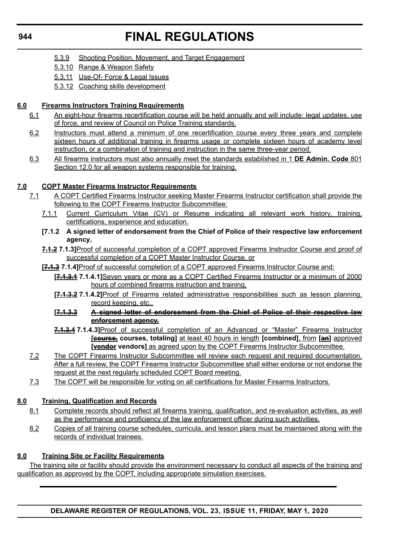- 5.3.9 Shooting Position, Movement, and Target Engagement
- 5.3.10 Range & Weapon Safety
- 5.3.11 Use-Of- Force & Legal Issues
- 5.3.12 Coaching skills development

#### **6.0 Firearms Instructors Training Requirements**

- 6.1 An eight-hour firearms recertification course will be held annually and will include: legal updates, use of force, and review of Council on Police Training standards.
- 6.2 Instructors must attend a minimum of one recertification course every three years and complete sixteen hours of additional training in firearms usage or complete sixteen hours of academy level instruction, or a combination of training and instruction in the same three-year period.
- 6.3 All firearms instructors must also annually meet the standards established in 1 **DE Admin. Code** 801 Section 12.0 for all weapon systems responsible for training.

#### **7.0 COPT Master Firearms Instructor Requirements**

- 7.1 A COPT Certified Firearms Instructor seeking Master Firearms Instructor certification shall provide the following to the COPT Firearms Instructor Subcommittee:
	- 7.1.1 Current Curriculum Vitae (CV) or Resume indicating all relevant work history, training, certifications, experience and education.
	- **[7.1.2 A signed letter of endorsement from the Chief of Police of their respective law enforcement agency,**
	- **7.1.2 7.1.3]**Proof of successful completion of a COPT approved Firearms Instructor Course and proof of successful completion of a COPT Master Instructor Course, or
	- **[7.1.3 7.1.4]**Proof of successful completion of a COPT approved Firearms Instructor Course and:
		- **[7.1.3.1 7.1.4.1]**Seven years or more as a COPT Certified Firearms Instructor or a minimum of 2000 hours of combined firearms instruction and training,
		- **[7.1.3.2 7.1.4.2]**Proof of Firearms related administrative responsibilities such as lesson planning, record keeping, etc.,
		- **[7.1.3.3 A signed letter of endorsement from the Chief of Police of their respective law enforcement agency,**
		- **7.1.3.4 7.1.4.3]**Proof of successful completion of an Advanced or "Master" Firearms Instructor **[course, courses, totaling]** at least 40 hours in length **[combined]**, from **[an]** approved **[vendor vendors]** as agreed upon by the COPT Firearms Instructor Subcommittee.
- 7.2 The COPT Firearms Instructor Subcommittee will review each request and required documentation. After a full review, the COPT Firearms Instructor Subcommittee shall either endorse or not endorse the request at the next regularly scheduled COPT Board meeting.
- 7.3 The COPT will be responsible for voting on all certifications for Master Firearms Instructors.

#### **8.0 Training, Qualification and Records**

- 8.1 Complete records should reflect all firearms training, qualification, and re-evaluation activities, as well as the performance and proficiency of the law enforcement officer during such activities.
- 8.2 Copies of all training course schedules, curricula, and lesson plans must be maintained along with the records of individual trainees.

#### **9.0 Training Site or Facility Requirements**

The training site or facility should provide the environment necessary to conduct all aspects of the training and qualification as approved by the COPT, including appropriate simulation exercises.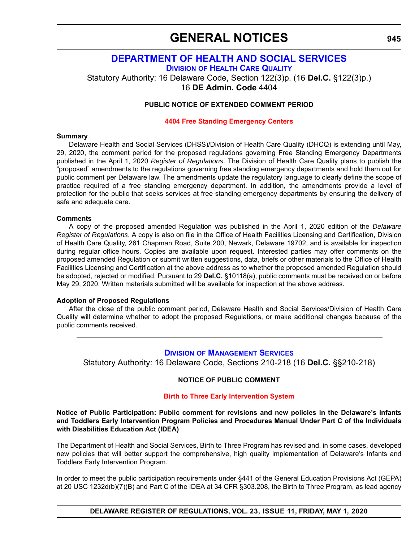### **GENERAL NOTICES**

### **[DEPARTMENT OF HEALTH AND SOCIAL SERVICES](https://www.dhss.delaware.gov/dhss/index.html) DIVISION [OF HEALTH CARE QUALITY](https://www.dhss.delaware.gov/dhss/dltcrp/)**

<span id="page-47-0"></span>Statutory Authority: 16 Delaware Code, Section 122(3)p. (16 **Del.C.** §122(3)p.) 16 **DE Admin. Code** 4404

#### **PUBLIC NOTICE OF EXTENDED COMMENT PERIOD**

#### **[4404 Free Standing Emergency Centers](#page-3-0)**

#### **Summary**

Delaware Health and Social Services (DHSS)/Division of Health Care Quality (DHCQ) is extending until May, 29, 2020, the comment period for the proposed regulations governing Free Standing Emergency Departments published in the April 1, 2020 *Register of Regulations*. The Division of Health Care Quality plans to publish the "proposed" amendments to the regulations governing free standing emergency departments and hold them out for public comment per Delaware law. The amendments update the regulatory language to clearly define the scope of practice required of a free standing emergency department. In addition, the amendments provide a level of protection for the public that seeks services at free standing emergency departments by ensuring the delivery of safe and adequate care.

#### **Comments**

A copy of the proposed amended Regulation was published in the April 1, 2020 edition of the *Delaware Register of Regulations*. A copy is also on file in the Office of Health Facilities Licensing and Certification, Division of Health Care Quality, 261 Chapman Road, Suite 200, Newark, Delaware 19702, and is available for inspection during regular office hours. Copies are available upon request. Interested parties may offer comments on the proposed amended Regulation or submit written suggestions, data, briefs or other materials to the Office of Health Facilities Licensing and Certification at the above address as to whether the proposed amended Regulation should be adopted, rejected or modified. Pursuant to 29 **Del.C.** §10118(a), public comments must be received on or before May 29, 2020. Written materials submitted will be available for inspection at the above address.

#### **Adoption of Proposed Regulations**

After the close of the public comment period, Delaware Health and Social Services/Division of Health Care Quality will determine whether to adopt the proposed Regulations, or make additional changes because of the public comments received.

#### **DIVISION [OF MANAGEMENT SERVICES](https://www.dhss.delaware.gov/dhss/dms/)**

Statutory Authority: 16 Delaware Code, Sections 210-218 (16 **Del.C.** §§210-218)

#### **NOTICE OF PUBLIC COMMENT**

#### **[Birth to Three Early Intervention System](#page-4-0)**

**Notice of Public Participation: Public comment for revisions and new policies in the Delaware's Infants and Toddlers Early Intervention Program Policies and Procedures Manual Under Part C of the Individuals with Disabilities Education Act (IDEA)**

The Department of Health and Social Services, Birth to Three Program has revised and, in some cases, developed new policies that will better support the comprehensive, high quality implementation of Delaware's Infants and Toddlers Early Intervention Program.

In order to meet the public participation requirements under §441 of the General Education Provisions Act (GEPA) at 20 USC 1232d(b)(7)(B) and Part C of the IDEA at 34 CFR §303.208, the Birth to Three Program, as lead agency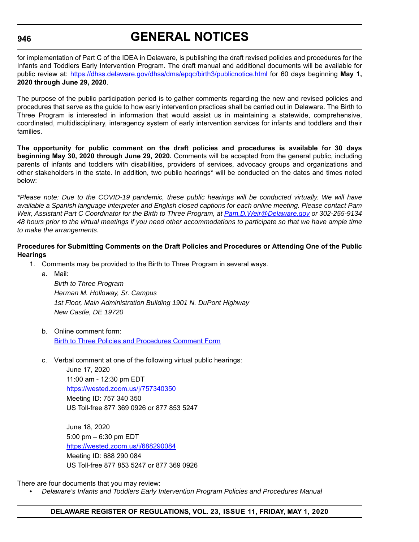#### **946**

# **GENERAL NOTICES**

for implementation of Part C of the IDEA in Delaware, is publishing the draft revised policies and procedures for the Infants and Toddlers Early Intervention Program. The draft manual and additional documents will be available for public review at: <https://dhss.delaware.gov/dhss/dms/epqc/birth3/publicnotice.html> for 60 days beginning **May 1, 2020 through June 29, 2020**.

The purpose of the public participation period is to gather comments regarding the new and revised policies and procedures that serve as the guide to how early intervention practices shall be carried out in Delaware. The Birth to Three Program is interested in information that would assist us in maintaining a statewide, comprehensive, coordinated, multidisciplinary, interagency system of early intervention services for infants and toddlers and their families.

**The opportunity for public comment on the draft policies and procedures is available for 30 days beginning May 30, 2020 through June 29, 2020.** Comments will be accepted from the general public, including parents of infants and toddlers with disabilities, providers of services, advocacy groups and organizations and other stakeholders in the state. In addition, two public hearings\* will be conducted on the dates and times noted below:

*\*Please note: Due to the COVID-19 pandemic, these public hearings will be conducted virtually. We will have available a Spanish language interpreter and English closed captions for each online meeting. Please contact Pam Weir, Assistant Part C Coordinator for the Birth to Three Program, at [Pam.D.Weir@Delaware.gov](mailto:Pam.D.Weir@Delaware.gov) or 302-255-9134 48 hours prior to the virtual meetings if you need other accommodations to participate so that we have ample time to make the arrangements.*

#### **Procedures for Submitting Comments on the Draft Policies and Procedures or Attending One of the Public Hearings**

- 1. Comments may be provided to the Birth to Three Program in several ways.
	- a. Mail:

*Birth to Three Program Herman M. Holloway, Sr. Campus 1st Floor, Main Administration Building 1901 N. DuPont Highway New Castle, DE 19720*

- b. Online comment form: [Birth to Three Policies and Procedures Comment Form](https://app.smartsheet.com/b/form/f923d04cdea74dcdb5d31fee13b1fbc9)
- c. Verbal comment at one of the following virtual public hearings:

June 17, 2020 11:00 am - 12:30 pm EDT <https://wested.zoom.us/j/757340350> Meeting ID: 757 340 350 US Toll-free 877 369 0926 or 877 853 5247

June 18, 2020 5:00 pm – 6:30 pm EDT <https://wested.zoom.us/j/688290084> Meeting ID: 688 290 084 US Toll-free 877 853 5247 or 877 369 0926

There are four documents that you may review:

*• Delaware's Infants and Toddlers Early Intervention Program Policies and Procedures Manual*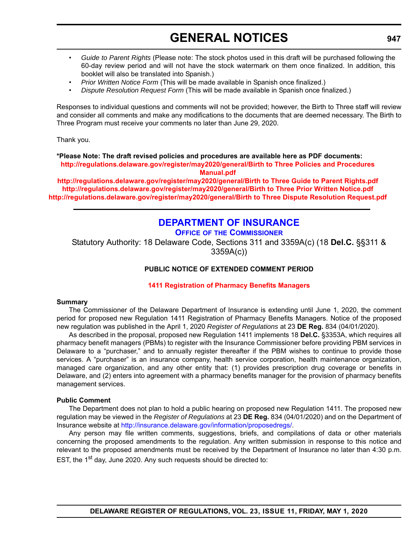# **GENERAL NOTICES**

- <span id="page-49-0"></span>• *Guide to Parent Rights* (Please note: The stock photos used in this draft will be purchased following the 60-day review period and will not have the stock watermark on them once finalized. In addition, this booklet will also be translated into Spanish.)
- *Prior Written Notice Form* (This will be made available in Spanish once finalized.)
- *Dispute Resolution Request Form* (This will be made available in Spanish once finalized.)

Responses to individual questions and comments will not be provided; however, the Birth to Three staff will review and consider all comments and make any modifications to the documents that are deemed necessary. The Birth to Three Program must receive your comments no later than June 29, 2020.

Thank you.

**\*Please Note: The draft revised policies and procedures are available here as PDF documents: [http://regulations.delaware.gov/register/may2020/general/Birth](http://regulations.delaware.gov/register/may2020/general/Birth to Three Policies and Procedures Manual.pdf) to Three Policies and Procedures Manual.pdf**

**[http://regulations.delaware.gov/register/may2020/general/Birth](http://regulations.delaware.gov/register/may2020/general/Birth to Three Guide to Parent Rights.pdf) to Three Guide to Parent Rights.pdf [http://regulations.delaware.gov/register/may2020/general/Birth](http://regulations.delaware.gov/register/may2020/general/Birth to Three Prior Written Notice.pdf) to Three Prior Written Notice.pdf [http://regulations.delaware.gov/register/may2020/general/Birth](http://regulations.delaware.gov/register/may2020/general/Birth to Three Dispute Resolution Request.pdf) to Three Dispute Resolution Request.pdf**

### **[DEPARTMENT OF INSURANCE](https://insurance.delaware.gov/)**

**OFFICE OF [THE COMMISSIONER](https://insurance.delaware.gov/bio/)**

Statutory Authority: 18 Delaware Code, Sections 311 and 3359A(c) (18 **Del.C.** §§311 & 3359A(c))

#### **PUBLIC NOTICE OF EXTENDED COMMENT PERIOD**

#### **[1411 Registration of Pharmacy Benefits Managers](#page-4-0)**

#### **Summary**

The Commissioner of the Delaware Department of Insurance is extending until June 1, 2020, the comment period for proposed new Regulation 1411 Registration of Pharmacy Benefits Managers. Notice of the proposed new regulation was published in the April 1, 2020 *Register of Regulations* at 23 **DE Reg.** 834 (04/01/2020).

As described in the proposal, proposed new Regulation 1411 implements 18 **Del.C.** §3353A, which requires all pharmacy benefit managers (PBMs) to register with the Insurance Commissioner before providing PBM services in Delaware to a "purchaser," and to annually register thereafter if the PBM wishes to continue to provide those services. A "purchaser" is an insurance company, health service corporation, health maintenance organization, managed care organization, and any other entity that: (1) provides prescription drug coverage or benefits in Delaware, and (2) enters into agreement with a pharmacy benefits manager for the provision of pharmacy benefits management services.

#### **Public Comment**

The Department does not plan to hold a public hearing on proposed new Regulation 1411. The proposed new regulation may be viewed in the *Register of Regulations* at 23 **DE Reg.** 834 (04/01/2020) and on the Department of Insurance website at [http://insurance.delaware.gov/information/proposedregs/.](http://insurance.delaware.gov/information/proposedregs/)

Any person may file written comments, suggestions, briefs, and compilations of data or other materials concerning the proposed amendments to the regulation. Any written submission in response to this notice and relevant to the proposed amendments must be received by the Department of Insurance no later than 4:30 p.m. EST, the 1<sup>st</sup> day, June 2020. Any such requests should be directed to: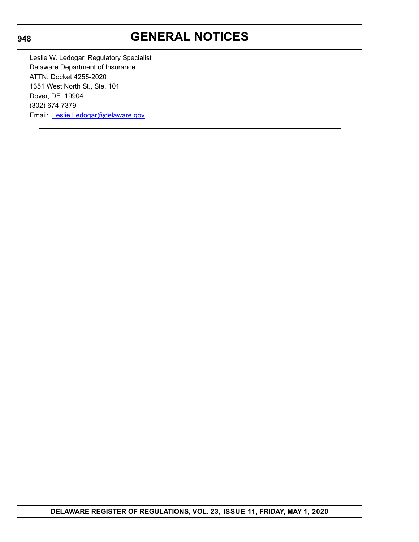#### **948**

# **GENERAL NOTICES**

Leslie W. Ledogar, Regulatory Specialist Delaware Department of Insurance ATTN: Docket 4255-2020 1351 West North St., Ste. 101 Dover, DE 19904 (302) 674-7379 Email: [Leslie.Ledogar@delaware.gov](mailto:Leslie.Ledogar@delaware.gov)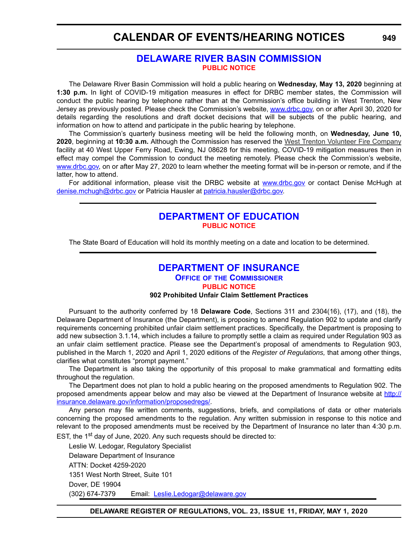### <span id="page-51-0"></span>**CALENDAR OF EVENTS/HEARING NOTICES**

### **[DELAWARE RIVER BASIN COMMISSION](https://www.state.nj.us/drbc/) [PUBLIC NOTICE](#page-4-0)**

The Delaware River Basin Commission will hold a public hearing on **Wednesday, May 13, 2020** beginning at **1:30 p.m.** In light of COVID-19 mitigation measures in effect for DRBC member states, the Commission will conduct the public hearing by telephone rather than at the Commission's office building in West Trenton, New Jersey as previously posted. Please check the Commission's website, [www.drbc.gov,](www.drbc.gov) on or after April 30, 2020 for details regarding the resolutions and draft docket decisions that will be subjects of the public hearing, and information on how to attend and participate in the public hearing by telephone.

The Commission's quarterly business meeting will be held the following month, on **Wednesday, June 10, 2020**, beginning at **10:30 a.m.** Although the Commission has reserved the West Trenton Volunteer Fire Company facility at 40 West Upper Ferry Road, Ewing, NJ 08628 for this meeting, COVID-19 mitigation measures then in effect may compel the Commission to conduct the meeting remotely. Please check the Commission's website, [www.drbc.gov,](www.drbc.gov) on or after May 27, 2020 to learn whether the meeting format will be in-person or remote, and if the latter, how to attend.

For additional information, please visit the DRBC website at <www.drbc.gov>or contact Denise McHugh at [denise.mchugh@drbc.gov](mailto:denise.mchugh@drbc.gov) or Patricia Hausler at [patricia.hausler@drbc.gov.](mailto:patricia.hausler@drbc.gov)

### **[DEPARTMENT OF EDUCATION](https://www.doe.k12.de.us/) [PUBLIC NOTICE](#page-4-0)**

The State Board of Education will hold its monthly meeting on a date and location to be determined.

### **[DEPARTMENT OF INSURANCE](https://insurance.delaware.gov/)**

**OFFICE OF [THE COMMISSIONER](https://insurance.delaware.gov/bio/)**

#### **[PUBLIC NOTICE](#page-4-0)**

#### **902 Prohibited Unfair Claim Settlement Practices**

Pursuant to the authority conferred by 18 **Delaware Code**, Sections 311 and 2304(16), (17), and (18), the Delaware Department of Insurance (the Department), is proposing to amend Regulation 902 to update and clarify requirements concerning prohibited unfair claim settlement practices. Specifically, the Department is proposing to add new subsection 3.1.14, which includes a failure to promptly settle a claim as required under Regulation 903 as an unfair claim settlement practice. Please see the Department's proposal of amendments to Regulation 903, published in the March 1, 2020 and April 1, 2020 editions of the *Register of Regulations,* that among other things, clarifies what constitutes "prompt payment."

The Department is also taking the opportunity of this proposal to make grammatical and formatting edits throughout the regulation.

The Department does not plan to hold a public hearing on the proposed amendments to Regulation 902. The proposed amendments appear below and may also be viewed at the Department of Insurance website at [http://](http://insurance.delaware.gov/information/proposedregs/) [insurance.delaware.gov/information/proposedregs/](http://insurance.delaware.gov/information/proposedregs/).

Any person may file written comments, suggestions, briefs, and compilations of data or other materials concerning the proposed amendments to the regulation. Any written submission in response to this notice and relevant to the proposed amendments must be received by the Department of Insurance no later than 4:30 p.m. EST, the 1<sup>st</sup> day of June, 2020. Any such requests should be directed to:

Leslie W. Ledogar, Regulatory Specialist Delaware Department of Insurance ATTN: Docket 4259-2020 1351 West North Street, Suite 101 Dover, DE 19904 (302) 674-7379 Email: [Leslie.Ledogar@delaware.gov](mailto:Leslie.Ledogar@delaware.gov)

**DELAWARE REGISTER OF REGULATIONS, VOL. 23, ISSUE 11, FRIDAY, MAY 1, 2020**